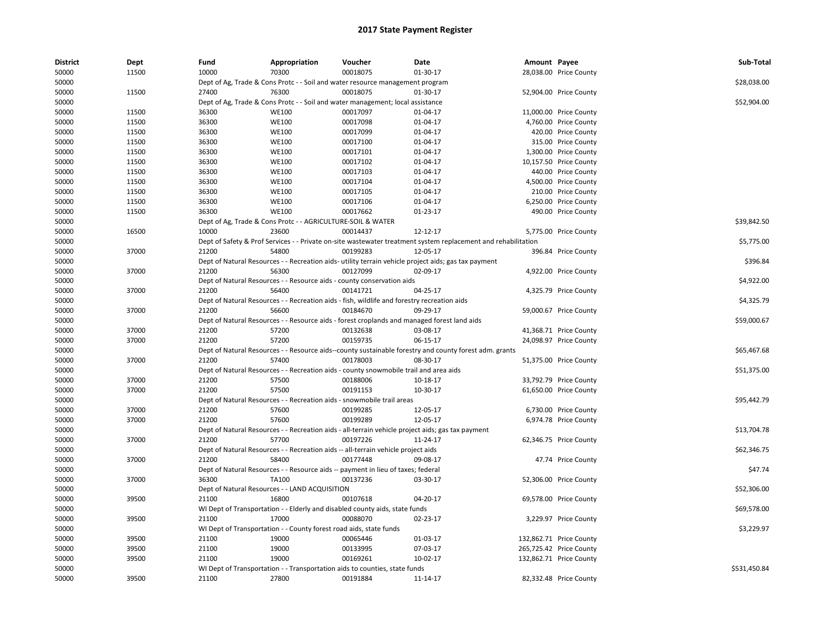| <b>District</b> | <b>Dept</b> | Fund  | Appropriation                                                      | Voucher                                                                                     | Date                                                                                                          | Amount Payee |                         | Sub-Total    |
|-----------------|-------------|-------|--------------------------------------------------------------------|---------------------------------------------------------------------------------------------|---------------------------------------------------------------------------------------------------------------|--------------|-------------------------|--------------|
| 50000           | 11500       | 10000 | 70300                                                              | 00018075                                                                                    | 01-30-17                                                                                                      |              | 28,038.00 Price County  |              |
| 50000           |             |       |                                                                    | Dept of Ag, Trade & Cons Protc - - Soil and water resource management program               |                                                                                                               |              |                         | \$28,038.00  |
| 50000           | 11500       | 27400 | 76300                                                              | 00018075                                                                                    | 01-30-17                                                                                                      |              | 52,904.00 Price County  |              |
| 50000           |             |       |                                                                    | Dept of Ag, Trade & Cons Protc - - Soil and water management; local assistance              |                                                                                                               |              |                         | \$52,904.00  |
| 50000           | 11500       | 36300 | <b>WE100</b>                                                       | 00017097                                                                                    | 01-04-17                                                                                                      |              | 11,000.00 Price County  |              |
| 50000           | 11500       | 36300 | <b>WE100</b>                                                       | 00017098                                                                                    | 01-04-17                                                                                                      |              | 4,760.00 Price County   |              |
| 50000           | 11500       | 36300 | <b>WE100</b>                                                       | 00017099                                                                                    | 01-04-17                                                                                                      |              | 420.00 Price County     |              |
| 50000           | 11500       | 36300 | <b>WE100</b>                                                       | 00017100                                                                                    | 01-04-17                                                                                                      |              | 315.00 Price County     |              |
| 50000           | 11500       | 36300 | <b>WE100</b>                                                       | 00017101                                                                                    | 01-04-17                                                                                                      |              | 1,300.00 Price County   |              |
| 50000           | 11500       | 36300 | <b>WE100</b>                                                       | 00017102                                                                                    | 01-04-17                                                                                                      |              | 10,157.50 Price County  |              |
| 50000           | 11500       | 36300 | <b>WE100</b>                                                       | 00017103                                                                                    | 01-04-17                                                                                                      |              | 440.00 Price County     |              |
| 50000           | 11500       | 36300 | <b>WE100</b>                                                       | 00017104                                                                                    | 01-04-17                                                                                                      |              | 4,500.00 Price County   |              |
| 50000           | 11500       | 36300 | <b>WE100</b>                                                       | 00017105                                                                                    | 01-04-17                                                                                                      |              | 210.00 Price County     |              |
| 50000           | 11500       | 36300 | <b>WE100</b>                                                       | 00017106                                                                                    | 01-04-17                                                                                                      |              | 6,250.00 Price County   |              |
| 50000           | 11500       | 36300 | <b>WE100</b>                                                       | 00017662                                                                                    | 01-23-17                                                                                                      |              | 490.00 Price County     |              |
| 50000           |             |       | Dept of Ag, Trade & Cons Protc - - AGRICULTURE-SOIL & WATER        |                                                                                             |                                                                                                               |              |                         | \$39,842.50  |
| 50000           | 16500       | 10000 | 23600                                                              | 00014437                                                                                    | 12-12-17                                                                                                      |              | 5,775.00 Price County   |              |
| 50000           |             |       |                                                                    |                                                                                             | Dept of Safety & Prof Services - - Private on-site wastewater treatment system replacement and rehabilitation |              |                         | \$5,775.00   |
| 50000           | 37000       | 21200 | 54800                                                              | 00199283                                                                                    | 12-05-17                                                                                                      |              | 396.84 Price County     |              |
| 50000           |             |       |                                                                    |                                                                                             | Dept of Natural Resources - - Recreation aids- utility terrain vehicle project aids; gas tax payment          |              |                         | \$396.84     |
| 50000           | 37000       | 21200 | 56300                                                              | 00127099                                                                                    | 02-09-17                                                                                                      |              | 4,922.00 Price County   |              |
| 50000           |             |       |                                                                    | Dept of Natural Resources - - Resource aids - county conservation aids                      |                                                                                                               |              |                         | \$4,922.00   |
| 50000           | 37000       | 21200 | 56400                                                              | 00141721                                                                                    | 04-25-17                                                                                                      |              | 4,325.79 Price County   |              |
| 50000           |             |       |                                                                    | Dept of Natural Resources - - Recreation aids - fish, wildlife and forestry recreation aids |                                                                                                               |              |                         | \$4,325.79   |
| 50000           | 37000       | 21200 | 56600                                                              | 00184670                                                                                    | 09-29-17                                                                                                      |              | 59,000.67 Price County  |              |
| 50000           |             |       |                                                                    |                                                                                             | Dept of Natural Resources - - Resource aids - forest croplands and managed forest land aids                   |              |                         | \$59,000.67  |
| 50000           | 37000       | 21200 | 57200                                                              | 00132638                                                                                    | 03-08-17                                                                                                      |              | 41,368.71 Price County  |              |
| 50000           | 37000       | 21200 | 57200                                                              | 00159735                                                                                    | 06-15-17                                                                                                      |              | 24,098.97 Price County  |              |
| 50000           |             |       |                                                                    |                                                                                             | Dept of Natural Resources - - Resource aids--county sustainable forestry and county forest adm. grants        |              |                         | \$65,467.68  |
| 50000           | 37000       | 21200 | 57400                                                              | 00178003                                                                                    | 08-30-17                                                                                                      |              | 51,375.00 Price County  |              |
| 50000           |             |       |                                                                    | Dept of Natural Resources - - Recreation aids - county snowmobile trail and area aids       |                                                                                                               |              |                         | \$51,375.00  |
| 50000           | 37000       | 21200 | 57500                                                              | 00188006                                                                                    | 10-18-17                                                                                                      |              | 33,792.79 Price County  |              |
| 50000           | 37000       | 21200 | 57500                                                              | 00191153                                                                                    | 10-30-17                                                                                                      |              | 61,650.00 Price County  |              |
| 50000           |             |       |                                                                    | Dept of Natural Resources - - Recreation aids - snowmobile trail areas                      |                                                                                                               |              |                         | \$95,442.79  |
| 50000           | 37000       | 21200 | 57600                                                              | 00199285                                                                                    | 12-05-17                                                                                                      |              | 6,730.00 Price County   |              |
| 50000           | 37000       | 21200 | 57600                                                              | 00199289                                                                                    | 12-05-17                                                                                                      |              | 6,974.78 Price County   |              |
| 50000           |             |       |                                                                    |                                                                                             | Dept of Natural Resources - - Recreation aids - all-terrain vehicle project aids; gas tax payment             |              |                         | \$13,704.78  |
| 50000           | 37000       | 21200 | 57700                                                              | 00197226                                                                                    | 11-24-17                                                                                                      |              | 62,346.75 Price County  |              |
| 50000           |             |       |                                                                    | Dept of Natural Resources - - Recreation aids -- all-terrain vehicle project aids           |                                                                                                               |              |                         | \$62,346.75  |
| 50000           | 37000       | 21200 | 58400                                                              | 00177448                                                                                    | 09-08-17                                                                                                      |              | 47.74 Price County      |              |
| 50000           |             |       |                                                                    | Dept of Natural Resources - - Resource aids -- payment in lieu of taxes; federal            |                                                                                                               |              |                         | \$47.74      |
| 50000           | 37000       | 36300 | TA100                                                              | 00137236                                                                                    | 03-30-17                                                                                                      |              | 52,306.00 Price County  |              |
| 50000           |             |       | Dept of Natural Resources - - LAND ACQUISITION                     |                                                                                             |                                                                                                               |              |                         | \$52,306.00  |
| 50000           | 39500       | 21100 | 16800                                                              | 00107618                                                                                    | 04-20-17                                                                                                      |              | 69,578.00 Price County  |              |
| 50000           |             |       |                                                                    | WI Dept of Transportation - - Elderly and disabled county aids, state funds                 |                                                                                                               |              |                         | \$69,578.00  |
| 50000           | 39500       | 21100 | 17000                                                              | 00088070                                                                                    | 02-23-17                                                                                                      |              | 3,229.97 Price County   |              |
| 50000           |             |       | WI Dept of Transportation - - County forest road aids, state funds |                                                                                             |                                                                                                               |              |                         | \$3,229.97   |
| 50000           | 39500       | 21100 | 19000                                                              | 00065446                                                                                    | 01-03-17                                                                                                      |              | 132,862.71 Price County |              |
| 50000           | 39500       | 21100 | 19000                                                              | 00133995                                                                                    | 07-03-17                                                                                                      |              | 265,725.42 Price County |              |
| 50000           | 39500       | 21100 | 19000                                                              | 00169261                                                                                    | 10-02-17                                                                                                      |              | 132,862.71 Price County |              |
| 50000           |             |       |                                                                    | WI Dept of Transportation - - Transportation aids to counties, state funds                  |                                                                                                               |              |                         | \$531,450.84 |
|                 |             |       |                                                                    |                                                                                             |                                                                                                               |              |                         |              |
| 50000           | 39500       | 21100 | 27800                                                              | 00191884                                                                                    | 11-14-17                                                                                                      |              | 82,332.48 Price County  |              |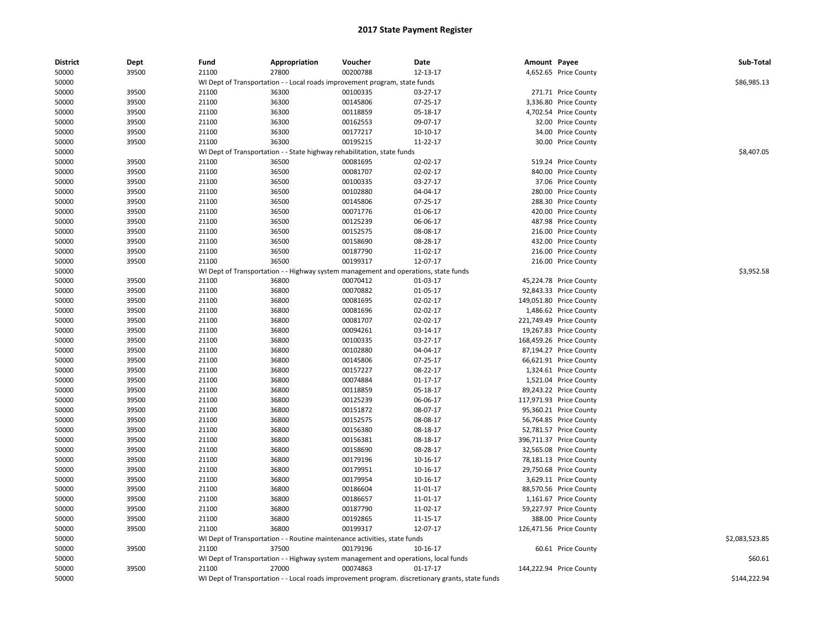| <b>District</b> | Dept           | Fund           | Appropriation                                                                                    | Voucher              | Date                 | Amount Payee |                                                   | Sub-Total      |
|-----------------|----------------|----------------|--------------------------------------------------------------------------------------------------|----------------------|----------------------|--------------|---------------------------------------------------|----------------|
| 50000           | 39500          | 21100          | 27800                                                                                            | 00200788             | 12-13-17             |              | 4,652.65 Price County                             |                |
| 50000           |                |                | WI Dept of Transportation - - Local roads improvement program, state funds                       |                      |                      |              |                                                   | \$86,985.13    |
| 50000           | 39500          | 21100          | 36300                                                                                            | 00100335             | 03-27-17             |              | 271.71 Price County                               |                |
| 50000           | 39500          | 21100          | 36300                                                                                            | 00145806             | 07-25-17             |              | 3,336.80 Price County                             |                |
| 50000           | 39500          | 21100          | 36300                                                                                            | 00118859             | 05-18-17             |              | 4,702.54 Price County                             |                |
| 50000           | 39500          | 21100          | 36300                                                                                            | 00162553             | 09-07-17             |              | 32.00 Price County                                |                |
| 50000           | 39500          | 21100          | 36300                                                                                            | 00177217             | $10-10-17$           |              | 34.00 Price County                                |                |
| 50000           | 39500          | 21100          | 36300                                                                                            | 00195215             | 11-22-17             |              | 30.00 Price County                                |                |
| 50000           |                |                | WI Dept of Transportation - - State highway rehabilitation, state funds                          |                      |                      |              |                                                   | \$8,407.05     |
| 50000           | 39500          | 21100          | 36500                                                                                            | 00081695             | 02-02-17             |              | 519.24 Price County                               |                |
| 50000           | 39500          | 21100          | 36500                                                                                            | 00081707             | 02-02-17             |              | 840.00 Price County                               |                |
| 50000           | 39500          | 21100          | 36500                                                                                            | 00100335             | 03-27-17             |              | 37.06 Price County                                |                |
| 50000           | 39500          | 21100          | 36500                                                                                            | 00102880             | 04-04-17             |              | 280.00 Price County                               |                |
| 50000           | 39500          | 21100          | 36500                                                                                            | 00145806             | 07-25-17             |              | 288.30 Price County                               |                |
| 50000           | 39500          | 21100          | 36500                                                                                            | 00071776             | 01-06-17             |              | 420.00 Price County                               |                |
| 50000           | 39500          | 21100          | 36500                                                                                            | 00125239             | 06-06-17             |              | 487.98 Price County                               |                |
| 50000           | 39500          | 21100          | 36500                                                                                            | 00152575             | 08-08-17             |              | 216.00 Price County                               |                |
| 50000           | 39500          | 21100          | 36500                                                                                            | 00158690             | 08-28-17             |              | 432.00 Price County                               |                |
| 50000           | 39500          | 21100          | 36500                                                                                            | 00187790             | 11-02-17             |              | 216.00 Price County                               |                |
| 50000           | 39500          | 21100          | 36500                                                                                            | 00199317             | 12-07-17             |              | 216.00 Price County                               |                |
| 50000           |                |                | WI Dept of Transportation - - Highway system management and operations, state funds              |                      |                      |              |                                                   | \$3,952.58     |
| 50000           | 39500          | 21100          | 36800                                                                                            | 00070412             | 01-03-17             |              | 45,224.78 Price County                            |                |
| 50000           | 39500          | 21100          | 36800                                                                                            | 00070882             | 01-05-17             |              | 92,843.33 Price County                            |                |
| 50000           | 39500          | 21100          | 36800                                                                                            | 00081695             | 02-02-17             |              | 149,051.80 Price County                           |                |
| 50000           | 39500          | 21100          | 36800                                                                                            | 00081696             | 02-02-17             |              | 1,486.62 Price County                             |                |
| 50000           | 39500          | 21100          | 36800                                                                                            | 00081707             | 02-02-17             |              | 221,749.49 Price County                           |                |
| 50000           | 39500          | 21100          | 36800                                                                                            | 00094261             | 03-14-17             |              |                                                   |                |
| 50000           | 39500          | 21100          | 36800                                                                                            | 00100335             | 03-27-17             |              | 19,267.83 Price County<br>168,459.26 Price County |                |
|                 |                |                |                                                                                                  |                      |                      |              |                                                   |                |
| 50000           | 39500<br>39500 | 21100<br>21100 | 36800<br>36800                                                                                   | 00102880<br>00145806 | 04-04-17<br>07-25-17 |              | 87,194.27 Price County                            |                |
| 50000           |                |                |                                                                                                  |                      |                      |              | 66,621.91 Price County                            |                |
| 50000           | 39500          | 21100          | 36800                                                                                            | 00157227             | 08-22-17             |              | 1,324.61 Price County                             |                |
| 50000           | 39500          | 21100          | 36800                                                                                            | 00074884             | $01 - 17 - 17$       |              | 1,521.04 Price County                             |                |
| 50000           | 39500          | 21100          | 36800                                                                                            | 00118859             | 05-18-17             |              | 89,243.22 Price County                            |                |
| 50000           | 39500          | 21100          | 36800                                                                                            | 00125239             | 06-06-17             |              | 117,971.93 Price County                           |                |
| 50000           | 39500          | 21100          | 36800                                                                                            | 00151872             | 08-07-17             |              | 95,360.21 Price County                            |                |
| 50000           | 39500          | 21100          | 36800                                                                                            | 00152575             | 08-08-17             |              | 56,764.85 Price County                            |                |
| 50000           | 39500          | 21100          | 36800                                                                                            | 00156380             | 08-18-17             |              | 52,781.57 Price County                            |                |
| 50000           | 39500          | 21100          | 36800                                                                                            | 00156381             | 08-18-17             |              | 396,711.37 Price County                           |                |
| 50000           | 39500          | 21100          | 36800                                                                                            | 00158690             | 08-28-17             |              | 32,565.08 Price County                            |                |
| 50000           | 39500          | 21100          | 36800                                                                                            | 00179196             | 10-16-17             |              | 78,181.13 Price County                            |                |
| 50000           | 39500          | 21100          | 36800                                                                                            | 00179951             | 10-16-17             |              | 29,750.68 Price County                            |                |
| 50000           | 39500          | 21100          | 36800                                                                                            | 00179954             | 10-16-17             |              | 3,629.11 Price County                             |                |
| 50000           | 39500          | 21100          | 36800                                                                                            | 00186604             | 11-01-17             |              | 88,570.56 Price County                            |                |
| 50000           | 39500          | 21100          | 36800                                                                                            | 00186657             | 11-01-17             |              | 1,161.67 Price County                             |                |
| 50000           | 39500          | 21100          | 36800                                                                                            | 00187790             | 11-02-17             |              | 59,227.97 Price County                            |                |
| 50000           | 39500          | 21100          | 36800                                                                                            | 00192865             | 11-15-17             |              | 388.00 Price County                               |                |
| 50000           | 39500          | 21100          | 36800                                                                                            | 00199317             | 12-07-17             |              | 126,471.56 Price County                           |                |
| 50000           |                |                | WI Dept of Transportation - - Routine maintenance activities, state funds                        |                      |                      |              |                                                   | \$2,083,523.85 |
| 50000           | 39500          | 21100          | 37500                                                                                            | 00179196             | 10-16-17             |              | 60.61 Price County                                |                |
| 50000           |                |                | WI Dept of Transportation - - Highway system management and operations, local funds              |                      |                      |              |                                                   | \$60.61        |
| 50000           | 39500          | 21100          | 27000                                                                                            | 00074863             | $01 - 17 - 17$       |              | 144,222.94 Price County                           |                |
| 50000           |                |                | WI Dept of Transportation - - Local roads improvement program. discretionary grants, state funds |                      |                      |              |                                                   | \$144,222.94   |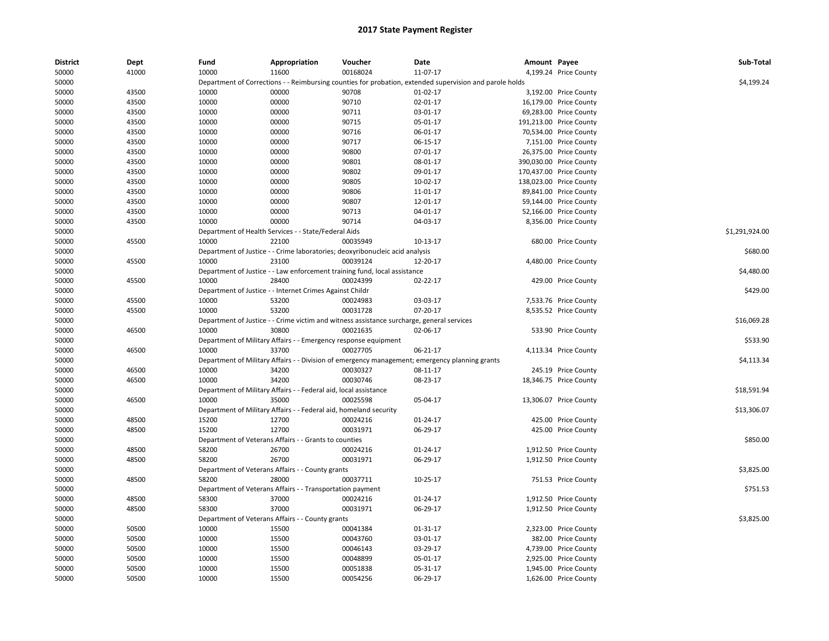| <b>District</b> | Dept  | Fund  | Appropriation                                                     | Voucher                                                                                   | <b>Date</b>                                                                                             | Amount Payee |                         | Sub-Total      |
|-----------------|-------|-------|-------------------------------------------------------------------|-------------------------------------------------------------------------------------------|---------------------------------------------------------------------------------------------------------|--------------|-------------------------|----------------|
| 50000           | 41000 | 10000 | 11600                                                             | 00168024                                                                                  | 11-07-17                                                                                                |              | 4,199.24 Price County   |                |
| 50000           |       |       |                                                                   |                                                                                           | Department of Corrections - - Reimbursing counties for probation, extended supervision and parole holds |              |                         | \$4,199.24     |
| 50000           | 43500 | 10000 | 00000                                                             | 90708                                                                                     | 01-02-17                                                                                                |              | 3,192.00 Price County   |                |
| 50000           | 43500 | 10000 | 00000                                                             | 90710                                                                                     | 02-01-17                                                                                                |              | 16,179.00 Price County  |                |
| 50000           | 43500 | 10000 | 00000                                                             | 90711                                                                                     | 03-01-17                                                                                                |              | 69,283.00 Price County  |                |
| 50000           | 43500 | 10000 | 00000                                                             | 90715                                                                                     | 05-01-17                                                                                                |              | 191,213.00 Price County |                |
| 50000           | 43500 | 10000 | 00000                                                             | 90716                                                                                     | 06-01-17                                                                                                |              | 70,534.00 Price County  |                |
| 50000           | 43500 | 10000 | 00000                                                             | 90717                                                                                     | 06-15-17                                                                                                |              | 7,151.00 Price County   |                |
| 50000           | 43500 | 10000 | 00000                                                             | 90800                                                                                     | 07-01-17                                                                                                |              | 26,375.00 Price County  |                |
| 50000           | 43500 | 10000 | 00000                                                             | 90801                                                                                     | 08-01-17                                                                                                |              | 390,030.00 Price County |                |
| 50000           | 43500 | 10000 | 00000                                                             | 90802                                                                                     | 09-01-17                                                                                                |              | 170,437.00 Price County |                |
| 50000           | 43500 | 10000 | 00000                                                             | 90805                                                                                     | 10-02-17                                                                                                |              | 138,023.00 Price County |                |
| 50000           | 43500 | 10000 | 00000                                                             | 90806                                                                                     | 11-01-17                                                                                                |              | 89,841.00 Price County  |                |
| 50000           | 43500 | 10000 | 00000                                                             | 90807                                                                                     | 12-01-17                                                                                                |              | 59,144.00 Price County  |                |
| 50000           | 43500 | 10000 | 00000                                                             | 90713                                                                                     | 04-01-17                                                                                                |              | 52,166.00 Price County  |                |
| 50000           | 43500 | 10000 | 00000                                                             | 90714                                                                                     | 04-03-17                                                                                                |              | 8,356.00 Price County   |                |
| 50000           |       |       | Department of Health Services - - State/Federal Aids              |                                                                                           |                                                                                                         |              |                         | \$1,291,924.00 |
| 50000           | 45500 | 10000 | 22100                                                             | 00035949                                                                                  | 10-13-17                                                                                                |              | 680.00 Price County     |                |
| 50000           |       |       |                                                                   | Department of Justice - - Crime laboratories; deoxyribonucleic acid analysis              |                                                                                                         |              |                         | \$680.00       |
| 50000           | 45500 | 10000 | 23100                                                             | 00039124                                                                                  | 12-20-17                                                                                                |              | 4,480.00 Price County   |                |
| 50000           |       |       |                                                                   | Department of Justice - - Law enforcement training fund, local assistance                 |                                                                                                         |              |                         | \$4,480.00     |
| 50000           | 45500 | 10000 | 28400                                                             | 00024399                                                                                  | $02 - 22 - 17$                                                                                          |              | 429.00 Price County     |                |
| 50000           |       |       | Department of Justice - - Internet Crimes Against Childr          |                                                                                           |                                                                                                         |              |                         | \$429.00       |
| 50000           | 45500 | 10000 | 53200                                                             | 00024983                                                                                  | 03-03-17                                                                                                |              | 7,533.76 Price County   |                |
| 50000           | 45500 | 10000 | 53200                                                             | 00031728                                                                                  | 07-20-17                                                                                                |              | 8,535.52 Price County   |                |
| 50000           |       |       |                                                                   | Department of Justice - - Crime victim and witness assistance surcharge, general services |                                                                                                         |              |                         | \$16,069.28    |
| 50000           | 46500 | 10000 | 30800                                                             | 00021635                                                                                  | 02-06-17                                                                                                |              | 533.90 Price County     |                |
| 50000           |       |       | Department of Military Affairs - - Emergency response equipment   |                                                                                           |                                                                                                         |              |                         | \$533.90       |
| 50000           | 46500 | 10000 | 33700                                                             | 00027705                                                                                  | 06-21-17                                                                                                |              | 4,113.34 Price County   |                |
| 50000           |       |       |                                                                   |                                                                                           | Department of Military Affairs - - Division of emergency management; emergency planning grants          |              |                         | \$4,113.34     |
| 50000           | 46500 | 10000 | 34200                                                             | 00030327                                                                                  | 08-11-17                                                                                                |              | 245.19 Price County     |                |
| 50000           | 46500 | 10000 | 34200                                                             | 00030746                                                                                  | 08-23-17                                                                                                |              | 18,346.75 Price County  |                |
| 50000           |       |       | Department of Military Affairs - - Federal aid, local assistance  |                                                                                           |                                                                                                         |              |                         | \$18,591.94    |
| 50000           | 46500 | 10000 | 35000                                                             | 00025598                                                                                  | 05-04-17                                                                                                |              | 13,306.07 Price County  |                |
| 50000           |       |       | Department of Military Affairs - - Federal aid, homeland security |                                                                                           |                                                                                                         |              |                         | \$13,306.07    |
| 50000           | 48500 | 15200 | 12700                                                             | 00024216                                                                                  | 01-24-17                                                                                                |              | 425.00 Price County     |                |
| 50000           | 48500 | 15200 | 12700                                                             | 00031971                                                                                  | 06-29-17                                                                                                |              | 425.00 Price County     |                |
| 50000           |       |       | Department of Veterans Affairs - - Grants to counties             |                                                                                           |                                                                                                         |              |                         | \$850.00       |
| 50000           | 48500 | 58200 | 26700                                                             | 00024216                                                                                  | 01-24-17                                                                                                |              | 1,912.50 Price County   |                |
| 50000           | 48500 | 58200 | 26700                                                             | 00031971                                                                                  | 06-29-17                                                                                                |              | 1,912.50 Price County   |                |
| 50000           |       |       | Department of Veterans Affairs - - County grants                  |                                                                                           |                                                                                                         |              |                         | \$3,825.00     |
| 50000           | 48500 | 58200 | 28000                                                             | 00037711                                                                                  | 10-25-17                                                                                                |              | 751.53 Price County     |                |
| 50000           |       |       | Department of Veterans Affairs - - Transportation payment         |                                                                                           |                                                                                                         |              |                         | \$751.53       |
| 50000           | 48500 | 58300 | 37000                                                             | 00024216                                                                                  | 01-24-17                                                                                                |              | 1,912.50 Price County   |                |
| 50000           | 48500 | 58300 | 37000                                                             | 00031971                                                                                  | 06-29-17                                                                                                |              | 1,912.50 Price County   |                |
| 50000           |       |       | Department of Veterans Affairs - - County grants                  |                                                                                           |                                                                                                         |              |                         | \$3.825.00     |
| 50000           | 50500 | 10000 | 15500                                                             | 00041384                                                                                  | 01-31-17                                                                                                |              | 2,323.00 Price County   |                |
| 50000           | 50500 | 10000 | 15500                                                             | 00043760                                                                                  | 03-01-17                                                                                                |              | 382.00 Price County     |                |
|                 | 50500 | 10000 | 15500                                                             | 00046143                                                                                  | 03-29-17                                                                                                |              | 4,739.00 Price County   |                |
| 50000<br>50000  | 50500 | 10000 | 15500                                                             | 00048899                                                                                  | 05-01-17                                                                                                |              | 2,925.00 Price County   |                |
| 50000           | 50500 | 10000 | 15500                                                             | 00051838                                                                                  | 05-31-17                                                                                                |              | 1,945.00 Price County   |                |
|                 | 50500 | 10000 |                                                                   | 00054256                                                                                  |                                                                                                         |              |                         |                |
| 50000           |       |       | 15500                                                             |                                                                                           | 06-29-17                                                                                                |              | 1,626.00 Price County   |                |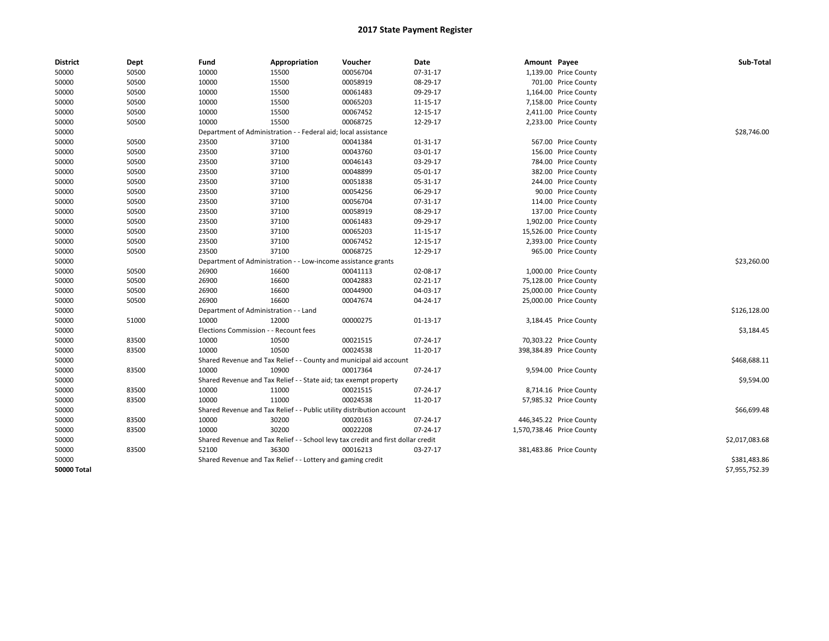| <b>District</b>    | Dept  | Fund                                  | Appropriation                                                                    | Voucher     | Date     | Amount Payee |                           | Sub-Total      |
|--------------------|-------|---------------------------------------|----------------------------------------------------------------------------------|-------------|----------|--------------|---------------------------|----------------|
| 50000              | 50500 | 10000                                 | 15500                                                                            | 00056704    | 07-31-17 |              | 1,139.00 Price County     |                |
| 50000              | 50500 | 10000                                 | 15500                                                                            | 00058919    | 08-29-17 |              | 701.00 Price County       |                |
| 50000              | 50500 | 10000                                 | 15500                                                                            | 00061483    | 09-29-17 |              | 1,164.00 Price County     |                |
| 50000              | 50500 | 10000                                 | 15500                                                                            | 00065203    | 11-15-17 |              | 7,158.00 Price County     |                |
| 50000              | 50500 | 10000                                 | 15500                                                                            | 00067452    | 12-15-17 |              | 2,411.00 Price County     |                |
| 50000              | 50500 | 10000                                 | 15500                                                                            | 00068725    | 12-29-17 |              | 2,233.00 Price County     |                |
| 50000              |       |                                       | Department of Administration - - Federal aid; local assistance                   |             |          |              |                           | \$28,746.00    |
| 50000              | 50500 | 23500                                 | 37100                                                                            | 00041384    | 01-31-17 |              | 567.00 Price County       |                |
| 50000              | 50500 | 23500                                 | 37100                                                                            | 00043760    | 03-01-17 |              | 156.00 Price County       |                |
| 50000              | 50500 | 23500                                 | 37100                                                                            | 00046143    | 03-29-17 |              | 784.00 Price County       |                |
| 50000              | 50500 | 23500                                 | 37100                                                                            | 00048899    | 05-01-17 |              | 382.00 Price County       |                |
| 50000              | 50500 | 23500                                 | 37100                                                                            | 00051838    | 05-31-17 |              | 244.00 Price County       |                |
| 50000              | 50500 | 23500                                 | 37100                                                                            | 00054256    | 06-29-17 |              | 90.00 Price County        |                |
| 50000              | 50500 | 23500                                 | 37100                                                                            | 00056704    | 07-31-17 |              | 114.00 Price County       |                |
| 50000              | 50500 | 23500                                 | 37100                                                                            | 00058919    | 08-29-17 |              | 137.00 Price County       |                |
| 50000              | 50500 | 23500                                 | 37100                                                                            | 00061483    | 09-29-17 |              | 1,902.00 Price County     |                |
| 50000              | 50500 | 23500                                 | 37100                                                                            | 00065203    | 11-15-17 |              | 15,526.00 Price County    |                |
| 50000              | 50500 | 23500                                 | 37100                                                                            | 00067452    | 12-15-17 |              | 2,393.00 Price County     |                |
| 50000              | 50500 | 23500                                 | 37100                                                                            | 00068725    | 12-29-17 |              | 965.00 Price County       |                |
| 50000              |       | Department of Administration          |                                                                                  | \$23,260.00 |          |              |                           |                |
| 50000              | 50500 | 26900                                 | 16600                                                                            | 00041113    | 02-08-17 |              | 1,000.00 Price County     |                |
| 50000              | 50500 | 26900                                 | 16600                                                                            | 00042883    | 02-21-17 |              | 75,128.00 Price County    |                |
| 50000              | 50500 | 26900                                 | 16600                                                                            | 00044900    | 04-03-17 |              | 25,000.00 Price County    |                |
| 50000              | 50500 | 26900                                 | 16600                                                                            | 00047674    | 04-24-17 |              | 25,000.00 Price County    |                |
| 50000              |       | Department of Administration - - Land |                                                                                  |             |          |              |                           | \$126,128.00   |
| 50000              | 51000 | 10000                                 | 12000                                                                            | 00000275    | 01-13-17 |              | 3,184.45 Price County     |                |
| 50000              |       | Elections Commission - - Recount fees |                                                                                  |             |          |              |                           | \$3,184.45     |
| 50000              | 83500 | 10000                                 | 10500                                                                            | 00021515    | 07-24-17 |              | 70,303.22 Price County    |                |
| 50000              | 83500 | 10000                                 | 10500                                                                            | 00024538    | 11-20-17 |              | 398,384.89 Price County   |                |
| 50000              |       |                                       | Shared Revenue and Tax Relief - - County and municipal aid account               |             |          |              |                           | \$468,688.11   |
| 50000              | 83500 | 10000                                 | 10900                                                                            | 00017364    | 07-24-17 |              | 9,594.00 Price County     |                |
| 50000              |       |                                       | Shared Revenue and Tax Relief - - State aid; tax exempt property                 |             |          |              |                           | \$9,594.00     |
| 50000              | 83500 | 10000                                 | 11000                                                                            | 00021515    | 07-24-17 |              | 8,714.16 Price County     |                |
| 50000              | 83500 | 10000                                 | 11000                                                                            | 00024538    | 11-20-17 |              | 57,985.32 Price County    |                |
| 50000              |       |                                       | Shared Revenue and Tax Relief - - Public utility distribution account            |             |          |              |                           | \$66,699.48    |
| 50000              | 83500 | 10000                                 | 30200                                                                            | 00020163    | 07-24-17 |              | 446,345.22 Price County   |                |
| 50000              | 83500 | 10000                                 | 30200                                                                            | 00022208    | 07-24-17 |              | 1,570,738.46 Price County |                |
| 50000              |       |                                       | Shared Revenue and Tax Relief - - School levy tax credit and first dollar credit |             |          |              |                           | \$2,017,083.68 |
| 50000              | 83500 | 52100                                 | 36300                                                                            | 00016213    | 03-27-17 |              | 381,483.86 Price County   |                |
| 50000              |       |                                       | Shared Revenue and Tax Relief - - Lottery and gaming credit                      |             |          |              |                           | \$381,483.86   |
| <b>50000 Total</b> |       |                                       |                                                                                  |             |          |              |                           | \$7,955,752.39 |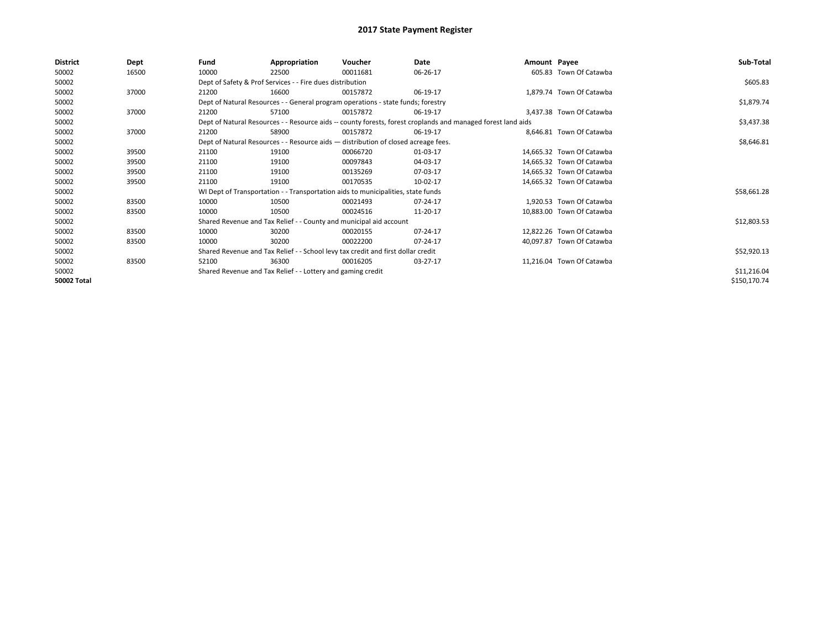| <b>District</b> | Dept  | Fund  | Appropriation                                                                      | Voucher  | Date                                                                                                         | Amount Payee |                           | Sub-Total    |
|-----------------|-------|-------|------------------------------------------------------------------------------------|----------|--------------------------------------------------------------------------------------------------------------|--------------|---------------------------|--------------|
| 50002           | 16500 | 10000 | 22500                                                                              | 00011681 | 06-26-17                                                                                                     |              | 605.83 Town Of Catawba    |              |
| 50002           |       |       | Dept of Safety & Prof Services - - Fire dues distribution                          |          |                                                                                                              |              |                           | \$605.83     |
| 50002           | 37000 | 21200 | 16600                                                                              | 00157872 | 06-19-17                                                                                                     |              | 1,879.74 Town Of Catawba  |              |
| 50002           |       |       | Dept of Natural Resources - - General program operations - state funds; forestry   |          | \$1,879.74                                                                                                   |              |                           |              |
| 50002           | 37000 | 21200 | 57100                                                                              | 00157872 | 06-19-17                                                                                                     |              | 3,437.38 Town Of Catawba  |              |
| 50002           |       |       |                                                                                    |          | Dept of Natural Resources - - Resource aids -- county forests, forest croplands and managed forest land aids |              |                           | \$3,437.38   |
| 50002           | 37000 | 21200 | 58900                                                                              | 00157872 | 06-19-17                                                                                                     |              | 8,646.81 Town Of Catawba  |              |
| 50002           |       |       | Dept of Natural Resources - - Resource aids - distribution of closed acreage fees. |          |                                                                                                              |              |                           | \$8,646.81   |
| 50002           | 39500 | 21100 | 19100                                                                              | 00066720 | 01-03-17                                                                                                     |              | 14,665.32 Town Of Catawba |              |
| 50002           | 39500 | 21100 | 19100                                                                              | 00097843 | 04-03-17                                                                                                     |              | 14.665.32 Town Of Catawba |              |
| 50002           | 39500 | 21100 | 19100                                                                              | 00135269 | 07-03-17                                                                                                     |              | 14,665.32 Town Of Catawba |              |
| 50002           | 39500 | 21100 | 19100                                                                              | 00170535 | 10-02-17                                                                                                     |              | 14,665.32 Town Of Catawba |              |
| 50002           |       |       | WI Dept of Transportation - - Transportation aids to municipalities, state funds   |          |                                                                                                              |              |                           | \$58,661.28  |
| 50002           | 83500 | 10000 | 10500                                                                              | 00021493 | 07-24-17                                                                                                     |              | 1.920.53 Town Of Catawba  |              |
| 50002           | 83500 | 10000 | 10500                                                                              | 00024516 | 11-20-17                                                                                                     |              | 10,883.00 Town Of Catawba |              |
| 50002           |       |       | Shared Revenue and Tax Relief - - County and municipal aid account                 |          |                                                                                                              |              |                           | \$12,803.53  |
| 50002           | 83500 | 10000 | 30200                                                                              | 00020155 | 07-24-17                                                                                                     |              | 12,822.26 Town Of Catawba |              |
| 50002           | 83500 | 10000 | 30200                                                                              | 00022200 | 07-24-17                                                                                                     |              | 40,097.87 Town Of Catawba |              |
| 50002           |       |       | Shared Revenue and Tax Relief - - School levy tax credit and first dollar credit   |          |                                                                                                              |              |                           | \$52,920.13  |
| 50002           | 83500 | 52100 | 36300                                                                              | 00016205 | 03-27-17                                                                                                     |              | 11,216.04 Town Of Catawba |              |
| 50002           |       |       | Shared Revenue and Tax Relief - - Lottery and gaming credit                        |          |                                                                                                              |              |                           | \$11,216.04  |
| 50002 Total     |       |       |                                                                                    |          |                                                                                                              |              |                           | \$150,170.74 |
|                 |       |       |                                                                                    |          |                                                                                                              |              |                           |              |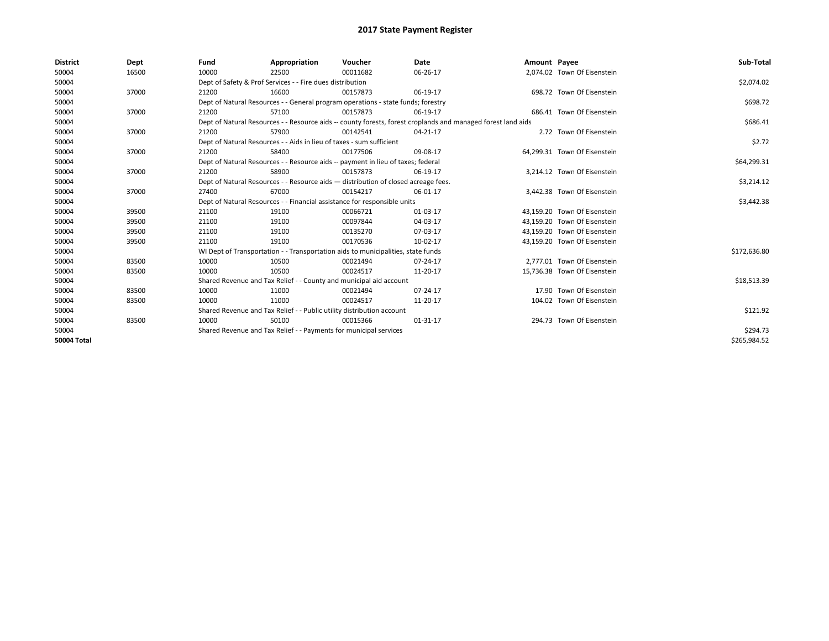| <b>District</b>    | Dept  | Fund  | Appropriation                                                                                                | Voucher  | Date     | Amount Payee |                              | Sub-Total    |
|--------------------|-------|-------|--------------------------------------------------------------------------------------------------------------|----------|----------|--------------|------------------------------|--------------|
| 50004              | 16500 | 10000 | 22500                                                                                                        | 00011682 | 06-26-17 |              | 2,074.02 Town Of Eisenstein  |              |
| 50004              |       |       | Dept of Safety & Prof Services - - Fire dues distribution                                                    |          |          |              |                              | \$2,074.02   |
| 50004              | 37000 | 21200 | 16600                                                                                                        | 00157873 | 06-19-17 |              | 698.72 Town Of Eisenstein    |              |
| 50004              |       |       | Dept of Natural Resources - - General program operations - state funds; forestry                             |          |          |              |                              | \$698.72     |
| 50004              | 37000 | 21200 | 57100                                                                                                        | 00157873 | 06-19-17 |              | 686.41 Town Of Eisenstein    |              |
| 50004              |       |       | Dept of Natural Resources - - Resource aids -- county forests, forest croplands and managed forest land aids |          | \$686.41 |              |                              |              |
| 50004              | 37000 | 21200 | 57900                                                                                                        | 00142541 | 04-21-17 |              | 2.72 Town Of Eisenstein      |              |
| 50004              |       |       | Dept of Natural Resources - - Aids in lieu of taxes - sum sufficient                                         |          |          |              |                              | \$2.72       |
| 50004              | 37000 | 21200 | 58400                                                                                                        | 00177506 | 09-08-17 |              | 64,299.31 Town Of Eisenstein |              |
| 50004              |       |       | Dept of Natural Resources - - Resource aids -- payment in lieu of taxes; federal                             |          |          |              |                              | \$64,299.31  |
| 50004              | 37000 | 21200 | 58900                                                                                                        | 00157873 | 06-19-17 |              | 3.214.12 Town Of Eisenstein  |              |
| 50004              |       |       | Dept of Natural Resources - - Resource aids - distribution of closed acreage fees.                           |          |          |              |                              | \$3,214.12   |
| 50004              | 37000 | 27400 | 67000                                                                                                        | 00154217 | 06-01-17 |              | 3,442.38 Town Of Eisenstein  |              |
| 50004              |       |       | Dept of Natural Resources - - Financial assistance for responsible units                                     |          |          |              |                              | \$3,442.38   |
| 50004              | 39500 | 21100 | 19100                                                                                                        | 00066721 | 01-03-17 |              | 43,159.20 Town Of Eisenstein |              |
| 50004              | 39500 | 21100 | 19100                                                                                                        | 00097844 | 04-03-17 |              | 43,159.20 Town Of Eisenstein |              |
| 50004              | 39500 | 21100 | 19100                                                                                                        | 00135270 | 07-03-17 |              | 43,159.20 Town Of Eisenstein |              |
| 50004              | 39500 | 21100 | 19100                                                                                                        | 00170536 | 10-02-17 |              | 43,159.20 Town Of Eisenstein |              |
| 50004              |       |       | WI Dept of Transportation - - Transportation aids to municipalities, state funds                             |          |          |              |                              | \$172,636.80 |
| 50004              | 83500 | 10000 | 10500                                                                                                        | 00021494 | 07-24-17 |              | 2,777.01 Town Of Eisenstein  |              |
| 50004              | 83500 | 10000 | 10500                                                                                                        | 00024517 | 11-20-17 |              | 15,736.38 Town Of Eisenstein |              |
| 50004              |       |       | Shared Revenue and Tax Relief - - County and municipal aid account                                           |          |          |              |                              | \$18,513.39  |
| 50004              | 83500 | 10000 | 11000                                                                                                        | 00021494 | 07-24-17 |              | 17.90 Town Of Eisenstein     |              |
| 50004              | 83500 | 10000 | 11000                                                                                                        | 00024517 | 11-20-17 |              | 104.02 Town Of Eisenstein    |              |
| 50004              |       |       | Shared Revenue and Tax Relief - - Public utility distribution account                                        |          |          |              |                              | \$121.92     |
| 50004              | 83500 | 10000 | 50100                                                                                                        | 00015366 | 01-31-17 |              | 294.73 Town Of Eisenstein    |              |
| 50004              |       |       | Shared Revenue and Tax Relief - - Payments for municipal services                                            |          |          |              |                              | \$294.73     |
| <b>50004 Total</b> |       |       |                                                                                                              |          |          |              |                              | \$265.984.52 |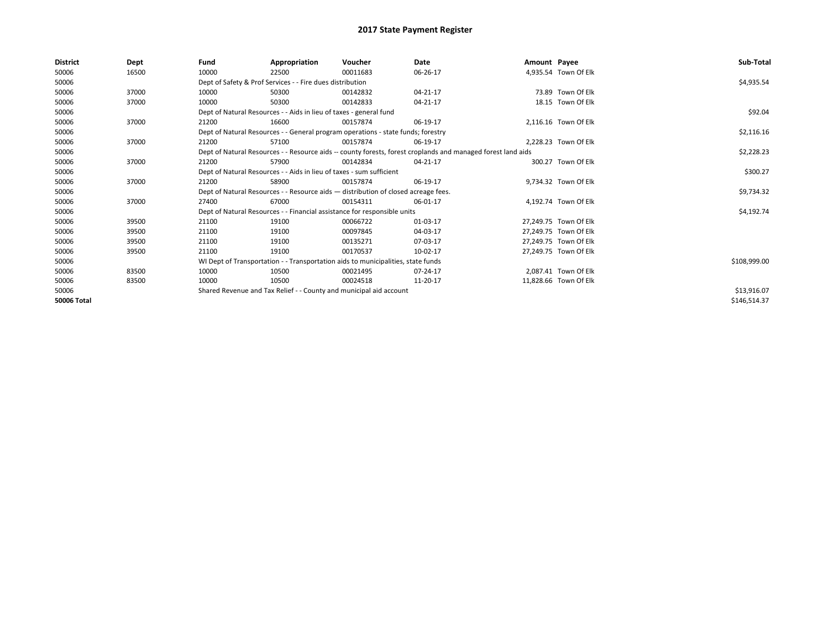| <b>District</b>    | Dept  | Fund                                                                 | Appropriation                                                                      | Voucher  | Date                                                                                                         | Amount Payee |                       | Sub-Total    |
|--------------------|-------|----------------------------------------------------------------------|------------------------------------------------------------------------------------|----------|--------------------------------------------------------------------------------------------------------------|--------------|-----------------------|--------------|
| 50006              | 16500 | 10000                                                                | 22500                                                                              | 00011683 | 06-26-17                                                                                                     |              | 4,935.54 Town Of Elk  |              |
| 50006              |       |                                                                      | Dept of Safety & Prof Services - - Fire dues distribution                          |          |                                                                                                              |              |                       | \$4,935.54   |
| 50006              | 37000 | 10000                                                                | 50300                                                                              | 00142832 | $04 - 21 - 17$                                                                                               |              | 73.89 Town Of Elk     |              |
| 50006              | 37000 | 10000                                                                | 50300                                                                              | 00142833 | $04 - 21 - 17$                                                                                               |              | 18.15 Town Of Elk     |              |
| 50006              |       |                                                                      | Dept of Natural Resources - - Aids in lieu of taxes - general fund                 |          |                                                                                                              |              |                       | \$92.04      |
| 50006              | 37000 | 21200                                                                | 16600                                                                              | 00157874 | 06-19-17                                                                                                     |              | 2,116.16 Town Of Elk  |              |
| 50006              |       |                                                                      | Dept of Natural Resources - - General program operations - state funds; forestry   |          |                                                                                                              |              |                       | \$2,116.16   |
| 50006              | 37000 | 21200                                                                | 57100                                                                              | 00157874 | 06-19-17                                                                                                     |              | 2,228.23 Town Of Elk  |              |
| 50006              |       |                                                                      |                                                                                    |          | Dept of Natural Resources - - Resource aids -- county forests, forest croplands and managed forest land aids |              |                       | \$2,228.23   |
| 50006              | 37000 | 21200                                                                | 57900                                                                              | 00142834 | 04-21-17                                                                                                     |              | 300.27 Town Of Elk    |              |
| 50006              |       | Dept of Natural Resources - - Aids in lieu of taxes - sum sufficient |                                                                                    | \$300.27 |                                                                                                              |              |                       |              |
| 50006              | 37000 | 21200                                                                | 58900                                                                              | 00157874 | 06-19-17                                                                                                     |              | 9,734.32 Town Of Elk  |              |
| 50006              |       |                                                                      | Dept of Natural Resources - - Resource aids - distribution of closed acreage fees. |          |                                                                                                              |              |                       | \$9,734.32   |
| 50006              | 37000 | 27400                                                                | 67000                                                                              | 00154311 | 06-01-17                                                                                                     |              | 4,192.74 Town Of Elk  |              |
| 50006              |       |                                                                      | Dept of Natural Resources - - Financial assistance for responsible units           |          |                                                                                                              |              |                       | \$4,192.74   |
| 50006              | 39500 | 21100                                                                | 19100                                                                              | 00066722 | 01-03-17                                                                                                     |              | 27,249.75 Town Of Elk |              |
| 50006              | 39500 | 21100                                                                | 19100                                                                              | 00097845 | 04-03-17                                                                                                     |              | 27,249.75 Town Of Elk |              |
| 50006              | 39500 | 21100                                                                | 19100                                                                              | 00135271 | 07-03-17                                                                                                     |              | 27,249.75 Town Of Elk |              |
| 50006              | 39500 | 21100                                                                | 19100                                                                              | 00170537 | 10-02-17                                                                                                     |              | 27,249.75 Town Of Elk |              |
| 50006              |       |                                                                      | WI Dept of Transportation - - Transportation aids to municipalities, state funds   |          |                                                                                                              |              |                       | \$108,999.00 |
| 50006              | 83500 | 10000                                                                | 10500                                                                              | 00021495 | 07-24-17                                                                                                     |              | 2,087.41 Town Of Elk  |              |
| 50006              | 83500 | 10000                                                                | 10500                                                                              | 00024518 | 11-20-17                                                                                                     |              | 11,828.66 Town Of Elk |              |
| 50006              |       |                                                                      | Shared Revenue and Tax Relief - - County and municipal aid account                 |          |                                                                                                              |              |                       | \$13,916.07  |
| <b>50006 Total</b> |       |                                                                      |                                                                                    |          |                                                                                                              |              |                       | \$146,514.37 |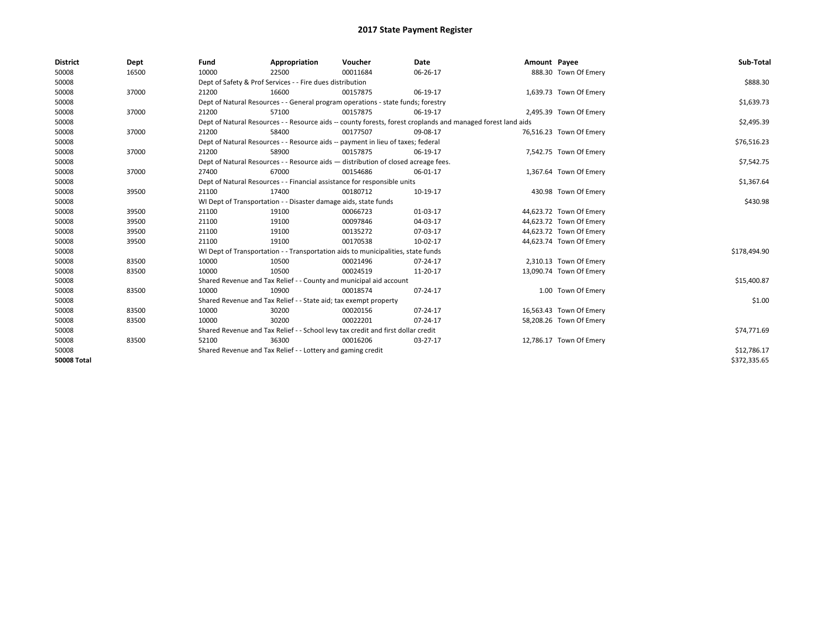| <b>District</b>    | Dept  | Fund  | Appropriation                                                                                                | Voucher  | Date        | Amount Payee |                         | Sub-Total    |
|--------------------|-------|-------|--------------------------------------------------------------------------------------------------------------|----------|-------------|--------------|-------------------------|--------------|
| 50008              | 16500 | 10000 | 22500                                                                                                        | 00011684 | 06-26-17    |              | 888.30 Town Of Emery    |              |
| 50008              |       |       | Dept of Safety & Prof Services - - Fire dues distribution                                                    |          |             |              |                         | \$888.30     |
| 50008              | 37000 | 21200 | 16600                                                                                                        | 00157875 | 06-19-17    |              | 1,639.73 Town Of Emery  |              |
| 50008              |       |       | Dept of Natural Resources - - General program operations - state funds; forestry                             |          |             |              |                         | \$1,639.73   |
| 50008              | 37000 | 21200 | 57100                                                                                                        | 00157875 | 06-19-17    |              | 2,495.39 Town Of Emery  |              |
| 50008              |       |       | Dept of Natural Resources - - Resource aids -- county forests, forest croplands and managed forest land aids |          | \$2,495.39  |              |                         |              |
| 50008              | 37000 | 21200 | 58400                                                                                                        | 00177507 | 09-08-17    |              | 76,516.23 Town Of Emery |              |
| 50008              |       |       | Dept of Natural Resources - - Resource aids -- payment in lieu of taxes; federal                             |          |             |              |                         | \$76,516.23  |
| 50008              | 37000 | 21200 | 58900                                                                                                        | 00157875 | 06-19-17    |              | 7,542.75 Town Of Emery  |              |
| 50008              |       |       | Dept of Natural Resources - - Resource aids - distribution of closed acreage fees.                           |          |             |              |                         | \$7,542.75   |
| 50008              | 37000 | 27400 | 67000                                                                                                        | 00154686 | 06-01-17    |              | 1,367.64 Town Of Emery  |              |
| 50008              |       |       | Dept of Natural Resources - - Financial assistance for responsible units                                     |          |             |              |                         | \$1,367.64   |
| 50008              | 39500 | 21100 | 17400                                                                                                        | 00180712 | 10-19-17    |              | 430.98 Town Of Emery    |              |
| 50008              |       |       | WI Dept of Transportation - - Disaster damage aids, state funds                                              |          | \$430.98    |              |                         |              |
| 50008              | 39500 | 21100 | 19100                                                                                                        | 00066723 | 01-03-17    |              | 44,623.72 Town Of Emery |              |
| 50008              | 39500 | 21100 | 19100                                                                                                        | 00097846 | 04-03-17    |              | 44,623.72 Town Of Emery |              |
| 50008              | 39500 | 21100 | 19100                                                                                                        | 00135272 | 07-03-17    |              | 44,623.72 Town Of Emery |              |
| 50008              | 39500 | 21100 | 19100                                                                                                        | 00170538 | 10-02-17    |              | 44,623.74 Town Of Emery |              |
| 50008              |       |       | WI Dept of Transportation - - Transportation aids to municipalities, state funds                             |          |             |              |                         | \$178,494.90 |
| 50008              | 83500 | 10000 | 10500                                                                                                        | 00021496 | 07-24-17    |              | 2,310.13 Town Of Emery  |              |
| 50008              | 83500 | 10000 | 10500                                                                                                        | 00024519 | 11-20-17    |              | 13,090.74 Town Of Emery |              |
| 50008              |       |       | Shared Revenue and Tax Relief - - County and municipal aid account                                           |          |             |              |                         | \$15,400.87  |
| 50008              | 83500 | 10000 | 10900                                                                                                        | 00018574 | 07-24-17    |              | 1.00 Town Of Emery      |              |
| 50008              |       |       | Shared Revenue and Tax Relief - - State aid; tax exempt property                                             |          |             |              |                         | \$1.00       |
| 50008              | 83500 | 10000 | 30200                                                                                                        | 00020156 | 07-24-17    |              | 16,563.43 Town Of Emery |              |
| 50008              | 83500 | 10000 | 30200                                                                                                        | 00022201 | 07-24-17    |              | 58,208.26 Town Of Emery |              |
| 50008              |       |       | Shared Revenue and Tax Relief - - School levy tax credit and first dollar credit                             |          |             |              |                         | \$74,771.69  |
| 50008              | 83500 | 52100 | 36300                                                                                                        | 00016206 | 03-27-17    |              | 12,786.17 Town Of Emery |              |
| 50008              |       |       | Shared Revenue and Tax Relief - - Lottery and gaming credit                                                  |          | \$12,786.17 |              |                         |              |
| <b>50008 Total</b> |       |       |                                                                                                              |          |             |              |                         | \$372,335.65 |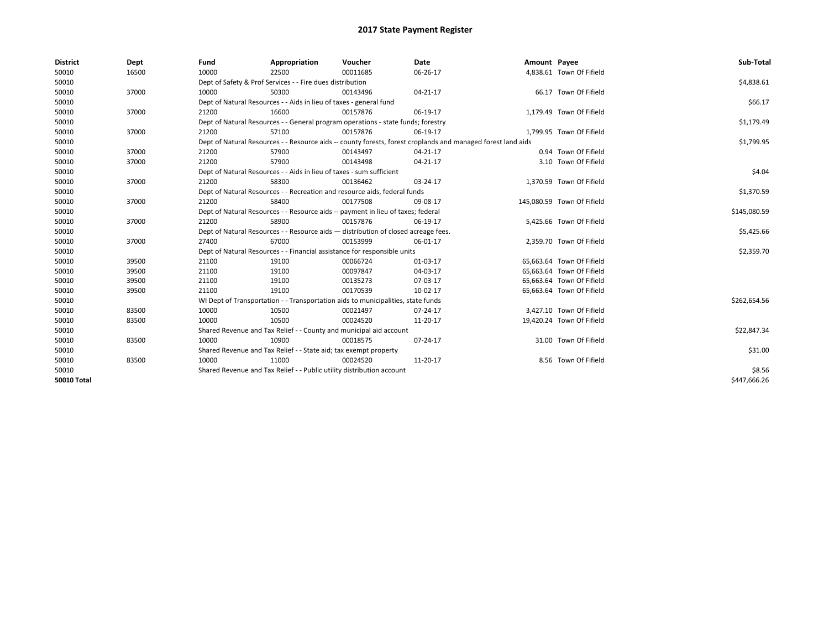| <b>District</b>    | Dept  | Fund  | Appropriation                                                                                                | Voucher  | Date           | Amount Payee |                            | Sub-Total    |  |  |  |
|--------------------|-------|-------|--------------------------------------------------------------------------------------------------------------|----------|----------------|--------------|----------------------------|--------------|--|--|--|
| 50010              | 16500 | 10000 | 22500                                                                                                        | 00011685 | 06-26-17       |              | 4,838.61 Town Of Fifield   |              |  |  |  |
| 50010              |       |       | Dept of Safety & Prof Services - - Fire dues distribution                                                    |          |                |              |                            | \$4,838.61   |  |  |  |
| 50010              | 37000 | 10000 | 50300                                                                                                        | 00143496 | 04-21-17       |              | 66.17 Town Of Fifield      |              |  |  |  |
| 50010              |       |       | Dept of Natural Resources - - Aids in lieu of taxes - general fund                                           |          |                |              |                            | \$66.17      |  |  |  |
| 50010              | 37000 | 21200 | 16600                                                                                                        | 00157876 | 06-19-17       |              | 1,179.49 Town Of Fifield   |              |  |  |  |
| 50010              |       |       | Dept of Natural Resources - - General program operations - state funds; forestry                             |          | \$1,179.49     |              |                            |              |  |  |  |
| 50010              | 37000 | 21200 | 57100                                                                                                        | 00157876 | 06-19-17       |              | 1,799.95 Town Of Fifield   |              |  |  |  |
| 50010              |       |       | Dept of Natural Resources - - Resource aids -- county forests, forest croplands and managed forest land aids |          |                |              |                            |              |  |  |  |
| 50010              | 37000 | 21200 | 57900                                                                                                        | 00143497 | $04 - 21 - 17$ |              | 0.94 Town Of Fifield       |              |  |  |  |
| 50010              | 37000 | 21200 | 57900                                                                                                        | 00143498 | 04-21-17       |              | 3.10 Town Of Fifield       |              |  |  |  |
| 50010              |       |       | Dept of Natural Resources - - Aids in lieu of taxes - sum sufficient                                         |          |                |              |                            | \$4.04       |  |  |  |
| 50010              | 37000 | 21200 | 58300                                                                                                        | 00136462 | 03-24-17       |              | 1,370.59 Town Of Fifield   |              |  |  |  |
| 50010              |       |       | Dept of Natural Resources - - Recreation and resource aids, federal funds                                    |          |                |              |                            | \$1,370.59   |  |  |  |
| 50010              | 37000 | 21200 | 58400                                                                                                        | 00177508 | 09-08-17       |              | 145,080.59 Town Of Fifield |              |  |  |  |
| 50010              |       |       | Dept of Natural Resources - - Resource aids -- payment in lieu of taxes; federal                             |          |                |              |                            |              |  |  |  |
| 50010              | 37000 | 21200 | 58900                                                                                                        | 00157876 | 06-19-17       |              | 5,425.66 Town Of Fifield   |              |  |  |  |
| 50010              |       |       | Dept of Natural Resources - - Resource aids - distribution of closed acreage fees.                           |          |                |              |                            | \$5,425.66   |  |  |  |
| 50010              | 37000 | 27400 | 67000                                                                                                        | 00153999 | 06-01-17       |              | 2,359.70 Town Of Fifield   |              |  |  |  |
| 50010              |       |       | Dept of Natural Resources - - Financial assistance for responsible units                                     |          |                |              |                            | \$2,359.70   |  |  |  |
| 50010              | 39500 | 21100 | 19100                                                                                                        | 00066724 | 01-03-17       |              | 65,663.64 Town Of Fifield  |              |  |  |  |
| 50010              | 39500 | 21100 | 19100                                                                                                        | 00097847 | 04-03-17       |              | 65,663.64 Town Of Fifield  |              |  |  |  |
| 50010              | 39500 | 21100 | 19100                                                                                                        | 00135273 | 07-03-17       |              | 65,663.64 Town Of Fifield  |              |  |  |  |
| 50010              | 39500 | 21100 | 19100                                                                                                        | 00170539 | 10-02-17       |              | 65,663.64 Town Of Fifield  |              |  |  |  |
| 50010              |       |       | WI Dept of Transportation - - Transportation aids to municipalities, state funds                             |          |                |              |                            | \$262,654.56 |  |  |  |
| 50010              | 83500 | 10000 | 10500                                                                                                        | 00021497 | 07-24-17       |              | 3,427.10 Town Of Fifield   |              |  |  |  |
| 50010              | 83500 | 10000 | 10500                                                                                                        | 00024520 | 11-20-17       |              | 19,420.24 Town Of Fifield  |              |  |  |  |
| 50010              |       |       | Shared Revenue and Tax Relief - - County and municipal aid account                                           |          |                |              |                            | \$22,847.34  |  |  |  |
| 50010              | 83500 | 10000 | 10900                                                                                                        | 00018575 | 07-24-17       |              | 31.00 Town Of Fifield      |              |  |  |  |
| 50010              |       |       | Shared Revenue and Tax Relief - - State aid; tax exempt property                                             |          |                |              |                            | \$31.00      |  |  |  |
| 50010              | 83500 | 10000 | 11000                                                                                                        | 00024520 | 11-20-17       |              | 8.56 Town Of Fifield       |              |  |  |  |
| 50010              |       |       | Shared Revenue and Tax Relief - - Public utility distribution account                                        |          |                |              |                            | \$8.56       |  |  |  |
| <b>50010 Total</b> |       |       |                                                                                                              |          |                |              |                            | \$447.666.26 |  |  |  |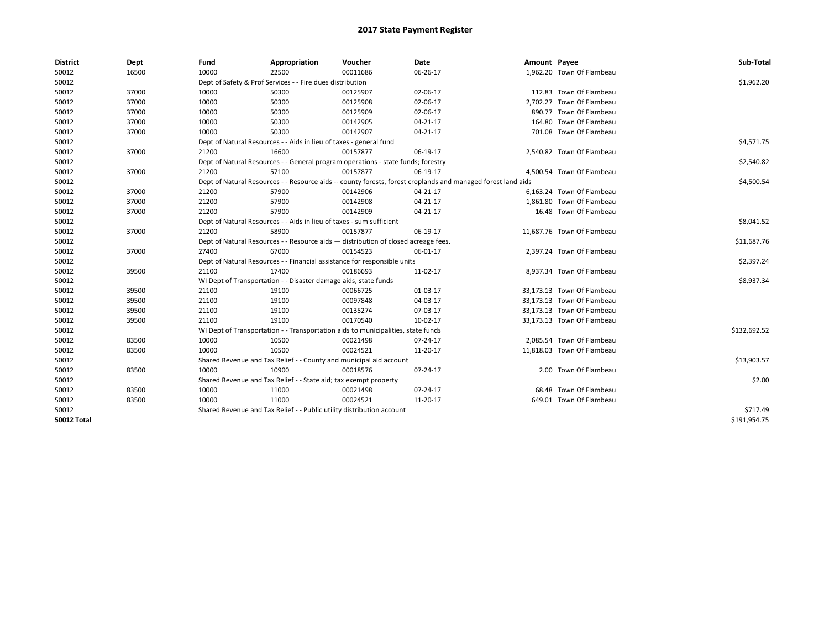| <b>District</b>    | Dept  | Fund  | Appropriation                                                                      | Voucher  | Date                                                                                                         | Amount Payee |                            | Sub-Total    |
|--------------------|-------|-------|------------------------------------------------------------------------------------|----------|--------------------------------------------------------------------------------------------------------------|--------------|----------------------------|--------------|
| 50012              | 16500 | 10000 | 22500                                                                              | 00011686 | 06-26-17                                                                                                     |              | 1,962.20 Town Of Flambeau  |              |
| 50012              |       |       | Dept of Safety & Prof Services - - Fire dues distribution                          |          |                                                                                                              |              |                            | \$1,962.20   |
| 50012              | 37000 | 10000 | 50300                                                                              | 00125907 | 02-06-17                                                                                                     |              | 112.83 Town Of Flambeau    |              |
| 50012              | 37000 | 10000 | 50300                                                                              | 00125908 | 02-06-17                                                                                                     |              | 2,702.27 Town Of Flambeau  |              |
| 50012              | 37000 | 10000 | 50300                                                                              | 00125909 | 02-06-17                                                                                                     |              | 890.77 Town Of Flambeau    |              |
| 50012              | 37000 | 10000 | 50300                                                                              | 00142905 | 04-21-17                                                                                                     |              | 164.80 Town Of Flambeau    |              |
| 50012              | 37000 | 10000 | 50300                                                                              | 00142907 | 04-21-17                                                                                                     |              | 701.08 Town Of Flambeau    |              |
| 50012              |       |       | Dept of Natural Resources - - Aids in lieu of taxes - general fund                 |          |                                                                                                              |              |                            | \$4,571.75   |
| 50012              | 37000 | 21200 | 16600                                                                              | 00157877 | 06-19-17                                                                                                     |              | 2,540.82 Town Of Flambeau  |              |
| 50012              |       |       | Dept of Natural Resources - - General program operations - state funds; forestry   |          |                                                                                                              |              |                            | \$2,540.82   |
| 50012              | 37000 | 21200 | 57100                                                                              | 00157877 | 06-19-17                                                                                                     |              | 4,500.54 Town Of Flambeau  |              |
| 50012              |       |       |                                                                                    |          | Dept of Natural Resources - - Resource aids -- county forests, forest croplands and managed forest land aids |              |                            | \$4,500.54   |
| 50012              | 37000 | 21200 | 57900                                                                              | 00142906 | 04-21-17                                                                                                     |              | 6,163.24 Town Of Flambeau  |              |
| 50012              | 37000 | 21200 | 57900                                                                              | 00142908 | $04 - 21 - 17$                                                                                               |              | 1,861.80 Town Of Flambeau  |              |
| 50012              | 37000 | 21200 | 57900                                                                              | 00142909 | $04 - 21 - 17$                                                                                               |              | 16.48 Town Of Flambeau     |              |
| 50012              |       |       | Dept of Natural Resources - - Aids in lieu of taxes - sum sufficient               |          |                                                                                                              |              |                            | \$8,041.52   |
| 50012              | 37000 | 21200 | 58900                                                                              | 00157877 | 06-19-17                                                                                                     |              | 11,687.76 Town Of Flambeau |              |
| 50012              |       |       | Dept of Natural Resources - - Resource aids - distribution of closed acreage fees. |          |                                                                                                              |              |                            | \$11,687.76  |
| 50012              | 37000 | 27400 | 67000                                                                              | 00154523 | 06-01-17                                                                                                     |              | 2,397.24 Town Of Flambeau  |              |
| 50012              |       |       | Dept of Natural Resources - - Financial assistance for responsible units           |          |                                                                                                              |              |                            | \$2,397.24   |
| 50012              | 39500 | 21100 | 17400                                                                              | 00186693 | 11-02-17                                                                                                     |              | 8,937.34 Town Of Flambeau  |              |
| 50012              |       |       | WI Dept of Transportation - - Disaster damage aids, state funds                    |          |                                                                                                              |              |                            | \$8,937.34   |
| 50012              | 39500 | 21100 | 19100                                                                              | 00066725 | 01-03-17                                                                                                     |              | 33,173.13 Town Of Flambeau |              |
| 50012              | 39500 | 21100 | 19100                                                                              | 00097848 | 04-03-17                                                                                                     |              | 33,173.13 Town Of Flambeau |              |
| 50012              | 39500 | 21100 | 19100                                                                              | 00135274 | 07-03-17                                                                                                     |              | 33,173.13 Town Of Flambeau |              |
| 50012              | 39500 | 21100 | 19100                                                                              | 00170540 | 10-02-17                                                                                                     |              | 33,173.13 Town Of Flambeau |              |
| 50012              |       |       | WI Dept of Transportation - - Transportation aids to municipalities, state funds   |          |                                                                                                              |              |                            | \$132,692.52 |
| 50012              | 83500 | 10000 | 10500                                                                              | 00021498 | 07-24-17                                                                                                     |              | 2,085.54 Town Of Flambeau  |              |
| 50012              | 83500 | 10000 | 10500                                                                              | 00024521 | 11-20-17                                                                                                     |              | 11,818.03 Town Of Flambeau |              |
| 50012              |       |       | Shared Revenue and Tax Relief - - County and municipal aid account                 |          |                                                                                                              |              |                            | \$13,903.57  |
| 50012              | 83500 | 10000 | 10900                                                                              | 00018576 | 07-24-17                                                                                                     |              | 2.00 Town Of Flambeau      |              |
| 50012              |       |       | Shared Revenue and Tax Relief - - State aid; tax exempt property                   |          |                                                                                                              |              |                            | \$2.00       |
| 50012              | 83500 | 10000 | 11000                                                                              | 00021498 | 07-24-17                                                                                                     |              | 68.48 Town Of Flambeau     |              |
| 50012              | 83500 | 10000 | 11000                                                                              | 00024521 | 11-20-17                                                                                                     |              | 649.01 Town Of Flambeau    |              |
| 50012              |       |       | Shared Revenue and Tax Relief - - Public utility distribution account              |          |                                                                                                              |              |                            | \$717.49     |
| <b>50012 Total</b> |       |       |                                                                                    |          |                                                                                                              |              |                            | \$191,954.75 |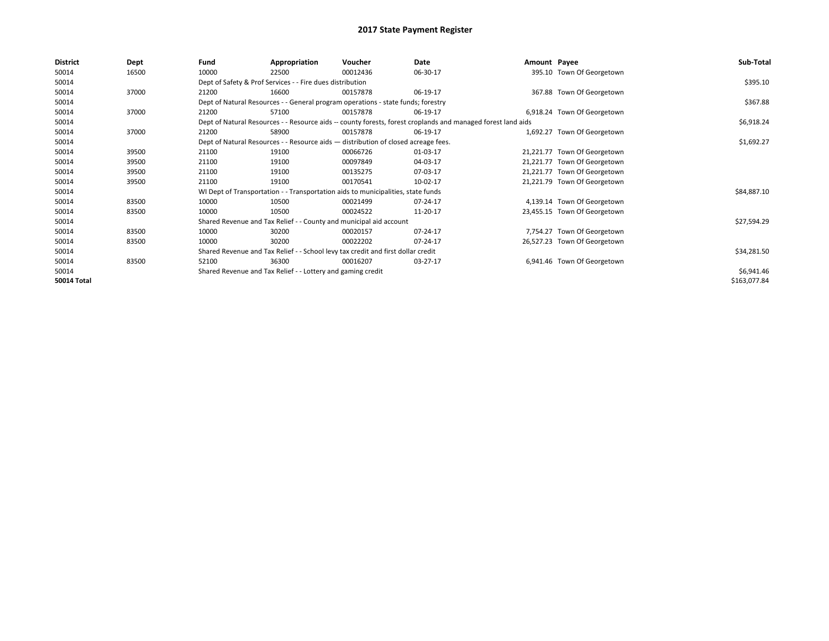| <b>District</b>    | Dept  | Fund  | Appropriation                                                                                                | Voucher  | Date       | Amount Payee |                              | Sub-Total    |
|--------------------|-------|-------|--------------------------------------------------------------------------------------------------------------|----------|------------|--------------|------------------------------|--------------|
| 50014              | 16500 | 10000 | 22500                                                                                                        | 00012436 | 06-30-17   |              | 395.10 Town Of Georgetown    |              |
| 50014              |       |       | Dept of Safety & Prof Services - - Fire dues distribution                                                    |          |            |              |                              | \$395.10     |
| 50014              | 37000 | 21200 | 16600                                                                                                        | 00157878 | 06-19-17   |              | 367.88 Town Of Georgetown    |              |
| 50014              |       |       | Dept of Natural Resources - - General program operations - state funds; forestry                             |          | \$367.88   |              |                              |              |
| 50014              | 37000 | 21200 | 57100                                                                                                        | 00157878 | 06-19-17   |              | 6,918.24 Town Of Georgetown  |              |
| 50014              |       |       | Dept of Natural Resources - - Resource aids -- county forests, forest croplands and managed forest land aids |          | \$6,918.24 |              |                              |              |
| 50014              | 37000 | 21200 | 58900                                                                                                        | 00157878 | 06-19-17   |              | 1,692.27 Town Of Georgetown  |              |
| 50014              |       |       | Dept of Natural Resources - - Resource aids - distribution of closed acreage fees.                           |          |            |              |                              | \$1,692.27   |
| 50014              | 39500 | 21100 | 19100                                                                                                        | 00066726 | 01-03-17   |              | 21,221.77 Town Of Georgetown |              |
| 50014              | 39500 | 21100 | 19100                                                                                                        | 00097849 | 04-03-17   |              | 21,221.77 Town Of Georgetown |              |
| 50014              | 39500 | 21100 | 19100                                                                                                        | 00135275 | 07-03-17   |              | 21,221.77 Town Of Georgetown |              |
| 50014              | 39500 | 21100 | 19100                                                                                                        | 00170541 | 10-02-17   |              | 21,221.79 Town Of Georgetown |              |
| 50014              |       |       | WI Dept of Transportation - - Transportation aids to municipalities, state funds                             |          |            |              |                              | \$84,887.10  |
| 50014              | 83500 | 10000 | 10500                                                                                                        | 00021499 | 07-24-17   |              | 4,139.14 Town Of Georgetown  |              |
| 50014              | 83500 | 10000 | 10500                                                                                                        | 00024522 | 11-20-17   |              | 23,455.15 Town Of Georgetown |              |
| 50014              |       |       | Shared Revenue and Tax Relief - - County and municipal aid account                                           |          |            |              |                              | \$27,594.29  |
| 50014              | 83500 | 10000 | 30200                                                                                                        | 00020157 | 07-24-17   |              | 7,754.27 Town Of Georgetown  |              |
| 50014              | 83500 | 10000 | 30200                                                                                                        | 00022202 | 07-24-17   |              | 26,527.23 Town Of Georgetown |              |
| 50014              |       |       | Shared Revenue and Tax Relief - - School levy tax credit and first dollar credit                             |          |            |              |                              | \$34,281.50  |
| 50014              | 83500 | 52100 | 36300                                                                                                        | 00016207 | 03-27-17   |              | 6,941.46 Town Of Georgetown  |              |
| 50014              |       |       | Shared Revenue and Tax Relief - - Lottery and gaming credit                                                  |          |            |              |                              | \$6,941.46   |
| <b>50014 Total</b> |       |       |                                                                                                              |          |            |              |                              | \$163,077.84 |
|                    |       |       |                                                                                                              |          |            |              |                              |              |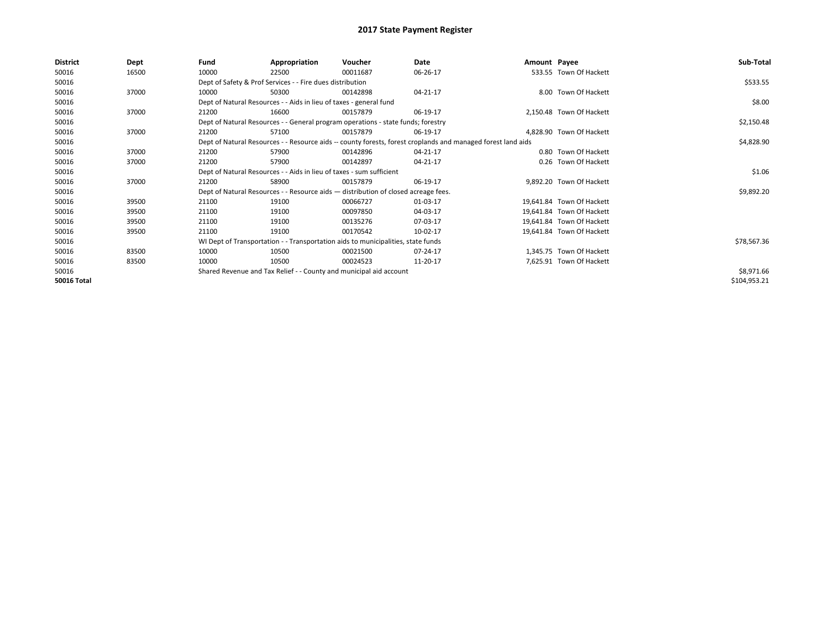| <b>District</b>    | Dept  | Fund  | Appropriation                                                        | Voucher                                                                            | Date                                                                                                         | Amount Payee |                           | Sub-Total    |  |  |
|--------------------|-------|-------|----------------------------------------------------------------------|------------------------------------------------------------------------------------|--------------------------------------------------------------------------------------------------------------|--------------|---------------------------|--------------|--|--|
| 50016              | 16500 | 10000 | 22500                                                                | 00011687                                                                           | 06-26-17                                                                                                     |              | 533.55 Town Of Hackett    |              |  |  |
| 50016              |       |       | Dept of Safety & Prof Services - - Fire dues distribution            |                                                                                    |                                                                                                              |              |                           | \$533.55     |  |  |
| 50016              | 37000 | 10000 | 50300                                                                | 00142898                                                                           | 04-21-17                                                                                                     |              | 8.00 Town Of Hackett      |              |  |  |
| 50016              |       |       | Dept of Natural Resources - - Aids in lieu of taxes - general fund   |                                                                                    |                                                                                                              |              |                           | \$8.00       |  |  |
| 50016              | 37000 | 21200 | 16600                                                                | 00157879                                                                           | 06-19-17                                                                                                     |              | 2,150.48 Town Of Hackett  |              |  |  |
| 50016              |       |       |                                                                      | Dept of Natural Resources - - General program operations - state funds; forestry   |                                                                                                              |              |                           | \$2,150.48   |  |  |
| 50016              | 37000 | 21200 | 57100                                                                | 00157879                                                                           | 06-19-17                                                                                                     |              | 4,828.90 Town Of Hackett  |              |  |  |
| 50016              |       |       |                                                                      |                                                                                    | Dept of Natural Resources - - Resource aids -- county forests, forest croplands and managed forest land aids |              |                           | \$4,828.90   |  |  |
| 50016              | 37000 | 21200 | 57900                                                                | 00142896                                                                           | 04-21-17                                                                                                     |              | 0.80 Town Of Hackett      |              |  |  |
| 50016              | 37000 | 21200 | 57900                                                                | 00142897                                                                           | 04-21-17                                                                                                     |              | 0.26 Town Of Hackett      |              |  |  |
| 50016              |       |       | Dept of Natural Resources - - Aids in lieu of taxes - sum sufficient |                                                                                    |                                                                                                              |              |                           |              |  |  |
| 50016              | 37000 | 21200 | 58900                                                                | 00157879                                                                           | 06-19-17                                                                                                     |              | 9,892.20 Town Of Hackett  |              |  |  |
| 50016              |       |       |                                                                      | Dept of Natural Resources - - Resource aids - distribution of closed acreage fees. |                                                                                                              |              |                           | \$9,892.20   |  |  |
| 50016              | 39500 | 21100 | 19100                                                                | 00066727                                                                           | 01-03-17                                                                                                     |              | 19,641.84 Town Of Hackett |              |  |  |
| 50016              | 39500 | 21100 | 19100                                                                | 00097850                                                                           | 04-03-17                                                                                                     |              | 19,641.84 Town Of Hackett |              |  |  |
| 50016              | 39500 | 21100 | 19100                                                                | 00135276                                                                           | 07-03-17                                                                                                     |              | 19,641.84 Town Of Hackett |              |  |  |
| 50016              | 39500 | 21100 | 19100                                                                | 00170542                                                                           | 10-02-17                                                                                                     |              | 19,641.84 Town Of Hackett |              |  |  |
| 50016              |       |       |                                                                      | WI Dept of Transportation - - Transportation aids to municipalities, state funds   |                                                                                                              |              |                           | \$78,567.36  |  |  |
| 50016              | 83500 | 10000 | 10500                                                                | 00021500                                                                           | 07-24-17                                                                                                     |              | 1,345.75 Town Of Hackett  |              |  |  |
| 50016              | 83500 | 10000 | 10500                                                                | 00024523                                                                           | 11-20-17                                                                                                     |              | 7,625.91 Town Of Hackett  |              |  |  |
| 50016              |       |       | Shared Revenue and Tax Relief - - County and municipal aid account   |                                                                                    |                                                                                                              |              |                           | \$8,971.66   |  |  |
| <b>50016 Total</b> |       |       |                                                                      |                                                                                    |                                                                                                              |              |                           | \$104,953.21 |  |  |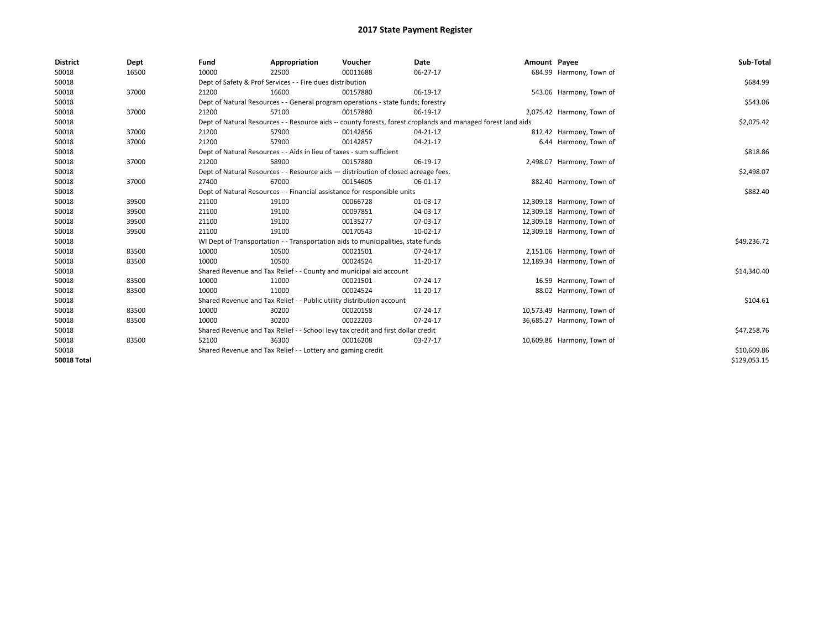| <b>District</b>    | Dept  | Fund                                                                                                         | Appropriation                                                                      | Voucher     | <b>Date</b> | Amount Payee |                            | Sub-Total    |
|--------------------|-------|--------------------------------------------------------------------------------------------------------------|------------------------------------------------------------------------------------|-------------|-------------|--------------|----------------------------|--------------|
| 50018              | 16500 | 10000                                                                                                        | 22500                                                                              | 00011688    | 06-27-17    |              | 684.99 Harmony, Town of    |              |
| 50018              |       |                                                                                                              | Dept of Safety & Prof Services - - Fire dues distribution                          |             |             |              |                            | \$684.99     |
| 50018              | 37000 | 21200                                                                                                        | 16600                                                                              | 00157880    | 06-19-17    |              | 543.06 Harmony, Town of    |              |
| 50018              |       |                                                                                                              | Dept of Natural Resources - - General program operations - state funds; forestry   |             |             |              |                            | \$543.06     |
| 50018              | 37000 | 21200                                                                                                        | 57100                                                                              | 00157880    | 06-19-17    |              | 2,075.42 Harmony, Town of  |              |
| 50018              |       | Dept of Natural Resources - - Resource aids -- county forests, forest croplands and managed forest land aids | \$2,075.42                                                                         |             |             |              |                            |              |
| 50018              | 37000 | 21200                                                                                                        | 57900                                                                              | 00142856    | 04-21-17    |              | 812.42 Harmony, Town of    |              |
| 50018              | 37000 | 21200                                                                                                        | 57900                                                                              | 00142857    | 04-21-17    |              | 6.44 Harmony, Town of      |              |
| 50018              |       |                                                                                                              | Dept of Natural Resources - - Aids in lieu of taxes - sum sufficient               |             |             |              |                            | \$818.86     |
| 50018              | 37000 | 21200                                                                                                        | 58900                                                                              | 00157880    | 06-19-17    |              | 2,498.07 Harmony, Town of  |              |
| 50018              |       |                                                                                                              | Dept of Natural Resources - - Resource aids - distribution of closed acreage fees. | \$2,498.07  |             |              |                            |              |
| 50018              | 37000 | 27400                                                                                                        | 67000                                                                              | 00154605    | 06-01-17    |              | 882.40 Harmony, Town of    |              |
| 50018              |       | Dept of Natural Resources - - Financial assistance for responsible units                                     | \$882.40                                                                           |             |             |              |                            |              |
| 50018              | 39500 | 21100                                                                                                        | 19100                                                                              | 00066728    | 01-03-17    |              | 12,309.18 Harmony, Town of |              |
| 50018              | 39500 | 21100                                                                                                        | 19100                                                                              | 00097851    | 04-03-17    |              | 12,309.18 Harmony, Town of |              |
| 50018              | 39500 | 21100                                                                                                        | 19100                                                                              | 00135277    | 07-03-17    |              | 12,309.18 Harmony, Town of |              |
| 50018              | 39500 | 21100                                                                                                        | 19100                                                                              | 00170543    | 10-02-17    |              | 12,309.18 Harmony, Town of |              |
| 50018              |       |                                                                                                              | WI Dept of Transportation - - Transportation aids to municipalities, state funds   |             |             |              |                            | \$49,236.72  |
| 50018              | 83500 | 10000                                                                                                        | 10500                                                                              | 00021501    | 07-24-17    |              | 2,151.06 Harmony, Town of  |              |
| 50018              | 83500 | 10000                                                                                                        | 10500                                                                              | 00024524    | 11-20-17    |              | 12,189.34 Harmony, Town of |              |
| 50018              |       |                                                                                                              | Shared Revenue and Tax Relief - - County and municipal aid account                 |             |             |              |                            | \$14,340.40  |
| 50018              | 83500 | 10000                                                                                                        | 11000                                                                              | 00021501    | 07-24-17    |              | 16.59 Harmony, Town of     |              |
| 50018              | 83500 | 10000                                                                                                        | 11000                                                                              | 00024524    | 11-20-17    |              | 88.02 Harmony, Town of     |              |
| 50018              |       |                                                                                                              | Shared Revenue and Tax Relief - - Public utility distribution account              |             |             |              |                            | \$104.61     |
| 50018              | 83500 | 10000                                                                                                        | 30200                                                                              | 00020158    | 07-24-17    |              | 10,573.49 Harmony, Town of |              |
| 50018              | 83500 | 10000                                                                                                        | 30200                                                                              | 00022203    | 07-24-17    |              | 36,685.27 Harmony, Town of |              |
| 50018              |       |                                                                                                              | Shared Revenue and Tax Relief - - School levy tax credit and first dollar credit   |             |             |              |                            | \$47,258.76  |
| 50018              | 83500 | 52100                                                                                                        | 36300                                                                              | 00016208    | 03-27-17    |              | 10,609.86 Harmony, Town of |              |
| 50018              |       | Shared Revenue and Tax Relief - - Lottery and gaming credit                                                  |                                                                                    | \$10,609.86 |             |              |                            |              |
| <b>50018 Total</b> |       |                                                                                                              |                                                                                    |             |             |              |                            | \$129,053.15 |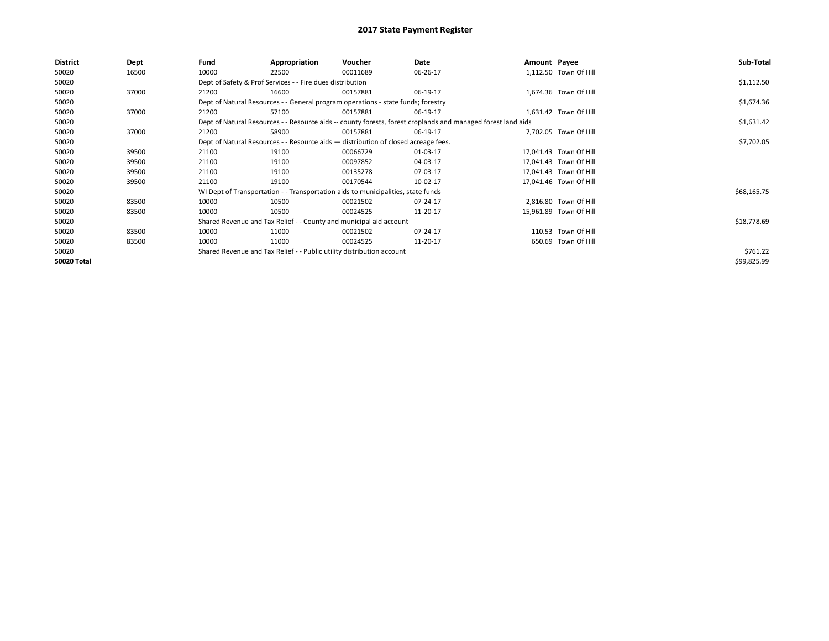| <b>District</b> | Dept  | Fund                                                                               | Appropriation                                                                    | Voucher    | Date                                                                                                         | Amount Payee |                        | Sub-Total   |
|-----------------|-------|------------------------------------------------------------------------------------|----------------------------------------------------------------------------------|------------|--------------------------------------------------------------------------------------------------------------|--------------|------------------------|-------------|
| 50020           | 16500 | 10000                                                                              | 22500                                                                            | 00011689   | 06-26-17                                                                                                     |              | 1,112.50 Town Of Hill  |             |
| 50020           |       |                                                                                    | Dept of Safety & Prof Services - - Fire dues distribution                        |            |                                                                                                              |              |                        | \$1,112.50  |
| 50020           | 37000 | 21200                                                                              | 16600                                                                            | 00157881   | 06-19-17                                                                                                     |              | 1,674.36 Town Of Hill  |             |
| 50020           |       |                                                                                    | Dept of Natural Resources - - General program operations - state funds; forestry |            |                                                                                                              |              |                        | \$1,674.36  |
| 50020           | 37000 | 21200                                                                              | 57100                                                                            | 00157881   | 06-19-17                                                                                                     |              | 1,631.42 Town Of Hill  |             |
| 50020           |       |                                                                                    |                                                                                  |            | Dept of Natural Resources - - Resource aids -- county forests, forest croplands and managed forest land aids |              |                        | \$1,631.42  |
| 50020           | 37000 | 21200                                                                              | 58900                                                                            | 00157881   | 06-19-17                                                                                                     |              | 7,702.05 Town Of Hill  |             |
| 50020           |       | Dept of Natural Resources - - Resource aids - distribution of closed acreage fees. |                                                                                  | \$7,702.05 |                                                                                                              |              |                        |             |
| 50020           | 39500 | 21100                                                                              | 19100                                                                            | 00066729   | 01-03-17                                                                                                     |              | 17,041.43 Town Of Hill |             |
| 50020           | 39500 | 21100                                                                              | 19100                                                                            | 00097852   | 04-03-17                                                                                                     |              | 17,041.43 Town Of Hill |             |
| 50020           | 39500 | 21100                                                                              | 19100                                                                            | 00135278   | 07-03-17                                                                                                     |              | 17,041.43 Town Of Hill |             |
| 50020           | 39500 | 21100                                                                              | 19100                                                                            | 00170544   | 10-02-17                                                                                                     |              | 17,041.46 Town Of Hill |             |
| 50020           |       |                                                                                    | WI Dept of Transportation - - Transportation aids to municipalities, state funds |            |                                                                                                              |              |                        | \$68,165.75 |
| 50020           | 83500 | 10000                                                                              | 10500                                                                            | 00021502   | 07-24-17                                                                                                     |              | 2,816.80 Town Of Hill  |             |
| 50020           | 83500 | 10000                                                                              | 10500                                                                            | 00024525   | 11-20-17                                                                                                     |              | 15,961.89 Town Of Hill |             |
| 50020           |       |                                                                                    | Shared Revenue and Tax Relief - - County and municipal aid account               |            |                                                                                                              |              |                        | \$18,778.69 |
| 50020           | 83500 | 10000                                                                              | 11000                                                                            | 00021502   | 07-24-17                                                                                                     |              | 110.53 Town Of Hill    |             |
| 50020           | 83500 | 10000                                                                              | 11000                                                                            | 00024525   | 11-20-17                                                                                                     |              | 650.69 Town Of Hill    |             |
| 50020           |       |                                                                                    | Shared Revenue and Tax Relief - - Public utility distribution account            |            |                                                                                                              |              |                        | \$761.22    |
| 50020 Total     |       |                                                                                    |                                                                                  |            |                                                                                                              |              |                        | \$99,825.99 |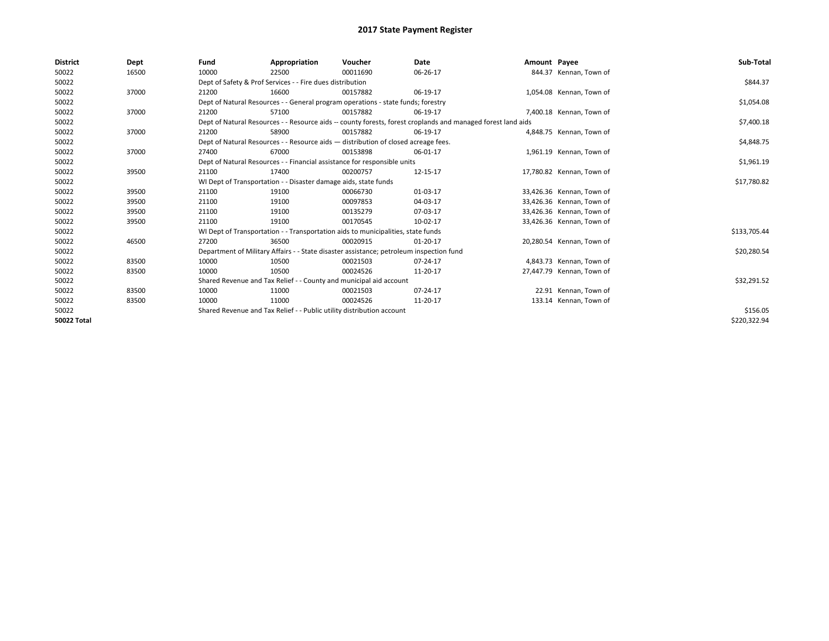| <b>District</b> | Dept  | Fund  | Appropriation                                                                                                | Voucher  | <b>Date</b> | Amount Payee |                           | Sub-Total    |  |  |  |  |
|-----------------|-------|-------|--------------------------------------------------------------------------------------------------------------|----------|-------------|--------------|---------------------------|--------------|--|--|--|--|
| 50022           | 16500 | 10000 | 22500                                                                                                        | 00011690 | 06-26-17    |              | 844.37 Kennan, Town of    |              |  |  |  |  |
| 50022           |       |       | Dept of Safety & Prof Services - - Fire dues distribution                                                    |          |             |              |                           | \$844.37     |  |  |  |  |
| 50022           | 37000 | 21200 | 16600                                                                                                        | 00157882 | 06-19-17    |              | 1,054.08 Kennan, Town of  |              |  |  |  |  |
| 50022           |       |       | Dept of Natural Resources - - General program operations - state funds; forestry                             |          |             |              |                           |              |  |  |  |  |
| 50022           | 37000 | 21200 | 57100                                                                                                        | 00157882 | 06-19-17    |              | 7.400.18 Kennan. Town of  |              |  |  |  |  |
| 50022           |       |       | Dept of Natural Resources - - Resource aids -- county forests, forest croplands and managed forest land aids |          | \$7,400.18  |              |                           |              |  |  |  |  |
| 50022           | 37000 | 21200 | 58900                                                                                                        | 00157882 | 06-19-17    |              | 4,848.75 Kennan, Town of  |              |  |  |  |  |
| 50022           |       |       | Dept of Natural Resources - - Resource aids - distribution of closed acreage fees.                           |          | \$4,848.75  |              |                           |              |  |  |  |  |
| 50022           | 37000 | 27400 | 67000                                                                                                        | 00153898 | 06-01-17    |              | 1,961.19 Kennan, Town of  |              |  |  |  |  |
| 50022           |       |       | Dept of Natural Resources - - Financial assistance for responsible units                                     |          |             |              |                           | \$1,961.19   |  |  |  |  |
| 50022           | 39500 | 21100 | 17400                                                                                                        | 00200757 | 12-15-17    |              | 17,780.82 Kennan, Town of |              |  |  |  |  |
| 50022           |       |       | WI Dept of Transportation - - Disaster damage aids, state funds                                              |          |             |              |                           |              |  |  |  |  |
| 50022           | 39500 | 21100 | 19100                                                                                                        | 00066730 | 01-03-17    |              | 33,426.36 Kennan, Town of |              |  |  |  |  |
| 50022           | 39500 | 21100 | 19100                                                                                                        | 00097853 | 04-03-17    |              | 33,426.36 Kennan, Town of |              |  |  |  |  |
| 50022           | 39500 | 21100 | 19100                                                                                                        | 00135279 | 07-03-17    |              | 33,426.36 Kennan, Town of |              |  |  |  |  |
| 50022           | 39500 | 21100 | 19100                                                                                                        | 00170545 | 10-02-17    |              | 33,426.36 Kennan, Town of |              |  |  |  |  |
| 50022           |       |       | WI Dept of Transportation - - Transportation aids to municipalities, state funds                             |          |             |              |                           | \$133,705.44 |  |  |  |  |
| 50022           | 46500 | 27200 | 36500                                                                                                        | 00020915 | 01-20-17    |              | 20,280.54 Kennan, Town of |              |  |  |  |  |
| 50022           |       |       | Department of Military Affairs - - State disaster assistance; petroleum inspection fund                      |          |             |              |                           | \$20,280.54  |  |  |  |  |
| 50022           | 83500 | 10000 | 10500                                                                                                        | 00021503 | 07-24-17    |              | 4,843.73 Kennan, Town of  |              |  |  |  |  |
| 50022           | 83500 | 10000 | 10500                                                                                                        | 00024526 | 11-20-17    |              | 27,447.79 Kennan, Town of |              |  |  |  |  |
| 50022           |       |       | Shared Revenue and Tax Relief - - County and municipal aid account                                           |          |             |              |                           | \$32,291.52  |  |  |  |  |
| 50022           | 83500 | 10000 | 11000                                                                                                        | 00021503 | 07-24-17    |              | 22.91 Kennan, Town of     |              |  |  |  |  |
| 50022           | 83500 | 10000 | 11000                                                                                                        | 00024526 | 11-20-17    |              | 133.14 Kennan, Town of    |              |  |  |  |  |
| 50022           |       |       | Shared Revenue and Tax Relief - - Public utility distribution account                                        |          |             |              |                           |              |  |  |  |  |
| 50022 Total     |       |       |                                                                                                              |          |             |              |                           | \$220,322.94 |  |  |  |  |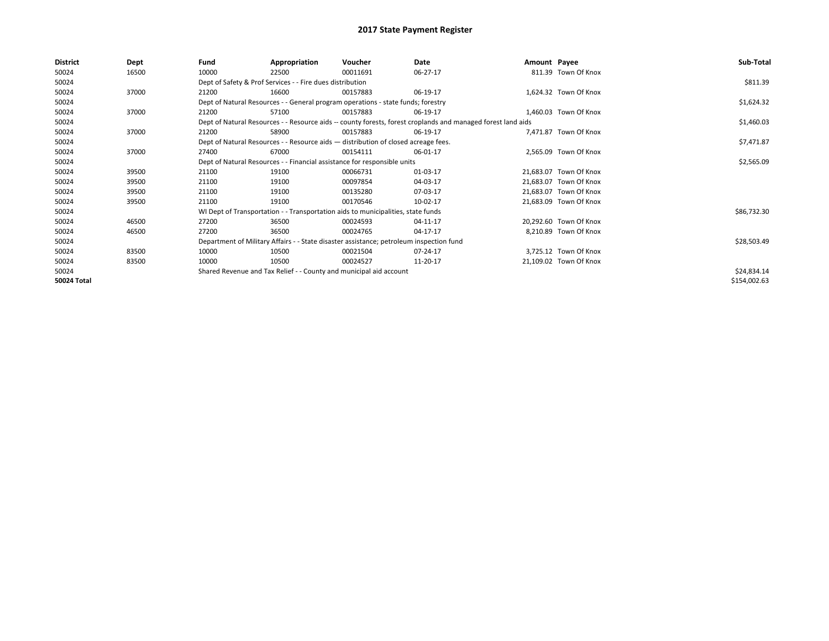| <b>District</b>    | Dept  | Fund  | Appropriation                                                                                                | Voucher  | Date       | Amount Payee |                        | Sub-Total    |  |  |  |
|--------------------|-------|-------|--------------------------------------------------------------------------------------------------------------|----------|------------|--------------|------------------------|--------------|--|--|--|
| 50024              | 16500 | 10000 | 22500                                                                                                        | 00011691 | 06-27-17   |              | 811.39 Town Of Knox    |              |  |  |  |
| 50024              |       |       | Dept of Safety & Prof Services - - Fire dues distribution                                                    |          |            |              |                        | \$811.39     |  |  |  |
| 50024              | 37000 | 21200 | 16600                                                                                                        | 00157883 | 06-19-17   |              | 1,624.32 Town Of Knox  |              |  |  |  |
| 50024              |       |       | Dept of Natural Resources - - General program operations - state funds; forestry                             |          |            |              |                        |              |  |  |  |
| 50024              | 37000 | 21200 | 57100                                                                                                        | 00157883 | 06-19-17   |              | 1,460.03 Town Of Knox  |              |  |  |  |
| 50024              |       |       | Dept of Natural Resources - - Resource aids -- county forests, forest croplands and managed forest land aids |          |            |              |                        |              |  |  |  |
| 50024              | 37000 | 21200 | 58900                                                                                                        | 00157883 | 06-19-17   |              | 7,471.87 Town Of Knox  |              |  |  |  |
| 50024              |       |       | Dept of Natural Resources - - Resource aids - distribution of closed acreage fees.                           |          | \$7,471.87 |              |                        |              |  |  |  |
| 50024              | 37000 | 27400 | 67000                                                                                                        | 00154111 | 06-01-17   |              | 2,565.09 Town Of Knox  |              |  |  |  |
| 50024              |       |       | Dept of Natural Resources - - Financial assistance for responsible units                                     |          |            |              |                        |              |  |  |  |
| 50024              | 39500 | 21100 | 19100                                                                                                        | 00066731 | 01-03-17   |              | 21,683.07 Town Of Knox |              |  |  |  |
| 50024              | 39500 | 21100 | 19100                                                                                                        | 00097854 | 04-03-17   |              | 21,683.07 Town Of Knox |              |  |  |  |
| 50024              | 39500 | 21100 | 19100                                                                                                        | 00135280 | 07-03-17   |              | 21,683.07 Town Of Knox |              |  |  |  |
| 50024              | 39500 | 21100 | 19100                                                                                                        | 00170546 | 10-02-17   |              | 21,683.09 Town Of Knox |              |  |  |  |
| 50024              |       |       | WI Dept of Transportation - - Transportation aids to municipalities, state funds                             |          |            |              |                        | \$86,732.30  |  |  |  |
| 50024              | 46500 | 27200 | 36500                                                                                                        | 00024593 | 04-11-17   |              | 20,292.60 Town Of Knox |              |  |  |  |
| 50024              | 46500 | 27200 | 36500                                                                                                        | 00024765 | 04-17-17   |              | 8,210.89 Town Of Knox  |              |  |  |  |
| 50024              |       |       | Department of Military Affairs - - State disaster assistance; petroleum inspection fund                      |          |            |              |                        | \$28,503.49  |  |  |  |
| 50024              | 83500 | 10000 | 10500                                                                                                        | 00021504 | 07-24-17   |              | 3,725.12 Town Of Knox  |              |  |  |  |
| 50024              | 83500 | 10000 | 10500                                                                                                        | 00024527 | 11-20-17   |              | 21,109.02 Town Of Knox |              |  |  |  |
| 50024              |       |       | Shared Revenue and Tax Relief - - County and municipal aid account                                           |          |            |              |                        | \$24,834.14  |  |  |  |
| <b>50024 Total</b> |       |       |                                                                                                              |          |            |              |                        | \$154,002.63 |  |  |  |
|                    |       |       |                                                                                                              |          |            |              |                        |              |  |  |  |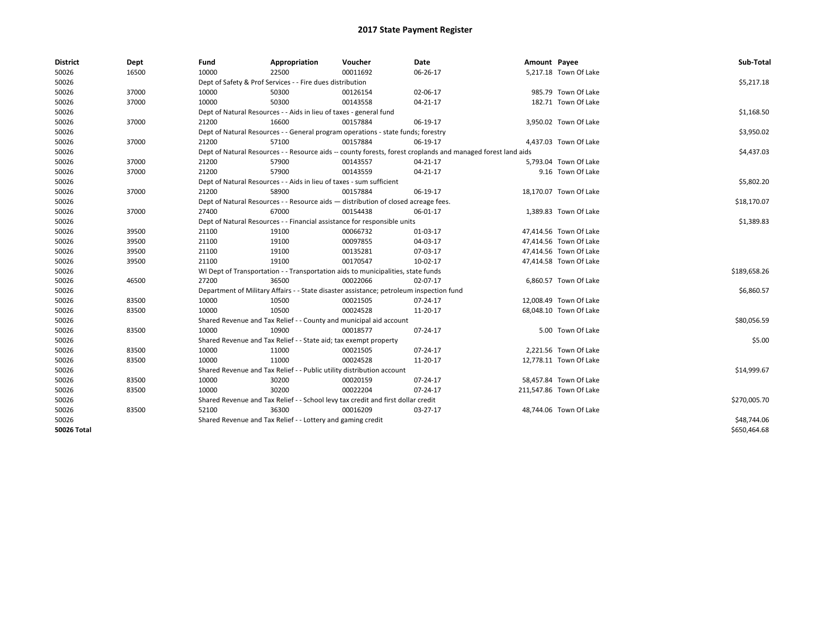| <b>District</b> | Dept  | Fund  | Appropriation                                                                                                | Voucher  | Date       | Amount Payee |                         | Sub-Total    |  |  |
|-----------------|-------|-------|--------------------------------------------------------------------------------------------------------------|----------|------------|--------------|-------------------------|--------------|--|--|
| 50026           | 16500 | 10000 | 22500                                                                                                        | 00011692 | 06-26-17   |              | 5,217.18 Town Of Lake   |              |  |  |
| 50026           |       |       | Dept of Safety & Prof Services - - Fire dues distribution                                                    |          |            |              |                         | \$5,217.18   |  |  |
| 50026           | 37000 | 10000 | 50300                                                                                                        | 00126154 | 02-06-17   |              | 985.79 Town Of Lake     |              |  |  |
| 50026           | 37000 | 10000 | 50300                                                                                                        | 00143558 | 04-21-17   |              | 182.71 Town Of Lake     |              |  |  |
| 50026           |       |       | Dept of Natural Resources - - Aids in lieu of taxes - general fund                                           |          |            |              |                         | \$1,168.50   |  |  |
| 50026           | 37000 | 21200 | 16600                                                                                                        | 00157884 | 06-19-17   |              | 3,950.02 Town Of Lake   |              |  |  |
| 50026           |       |       | Dept of Natural Resources - - General program operations - state funds; forestry                             |          |            |              |                         | \$3,950.02   |  |  |
| 50026           | 37000 | 21200 | 57100                                                                                                        | 00157884 | 06-19-17   |              | 4,437.03 Town Of Lake   |              |  |  |
| 50026           |       |       | Dept of Natural Resources - - Resource aids -- county forests, forest croplands and managed forest land aids |          |            |              |                         |              |  |  |
| 50026           | 37000 | 21200 | 57900                                                                                                        | 00143557 | 04-21-17   |              | 5,793.04 Town Of Lake   |              |  |  |
| 50026           | 37000 | 21200 | 57900                                                                                                        | 00143559 | 04-21-17   |              | 9.16 Town Of Lake       |              |  |  |
| 50026           |       |       | Dept of Natural Resources - - Aids in lieu of taxes - sum sufficient                                         |          | \$5,802.20 |              |                         |              |  |  |
| 50026           | 37000 | 21200 | 58900                                                                                                        | 00157884 | 06-19-17   |              | 18,170.07 Town Of Lake  |              |  |  |
| 50026           |       |       | Dept of Natural Resources - - Resource aids - distribution of closed acreage fees.                           |          |            |              |                         |              |  |  |
| 50026           | 37000 | 27400 | 67000                                                                                                        | 00154438 | 06-01-17   |              | 1,389.83 Town Of Lake   |              |  |  |
| 50026           |       |       | Dept of Natural Resources - - Financial assistance for responsible units                                     |          |            |              |                         |              |  |  |
| 50026           | 39500 | 21100 | 19100                                                                                                        | 00066732 | 01-03-17   |              | 47,414.56 Town Of Lake  |              |  |  |
| 50026           | 39500 | 21100 | 19100                                                                                                        | 00097855 | 04-03-17   |              | 47,414.56 Town Of Lake  |              |  |  |
| 50026           | 39500 | 21100 | 19100                                                                                                        | 00135281 | 07-03-17   |              | 47,414.56 Town Of Lake  |              |  |  |
| 50026           | 39500 | 21100 | 19100                                                                                                        | 00170547 | 10-02-17   |              | 47,414.58 Town Of Lake  |              |  |  |
| 50026           |       |       | WI Dept of Transportation - - Transportation aids to municipalities, state funds                             |          |            |              |                         | \$189,658.26 |  |  |
| 50026           | 46500 | 27200 | 36500                                                                                                        | 00022066 | 02-07-17   |              | 6,860.57 Town Of Lake   |              |  |  |
| 50026           |       |       | Department of Military Affairs - - State disaster assistance; petroleum inspection fund                      |          |            |              |                         | \$6,860.57   |  |  |
| 50026           | 83500 | 10000 | 10500                                                                                                        | 00021505 | 07-24-17   |              | 12,008.49 Town Of Lake  |              |  |  |
| 50026           | 83500 | 10000 | 10500                                                                                                        | 00024528 | 11-20-17   |              | 68,048.10 Town Of Lake  |              |  |  |
| 50026           |       |       | Shared Revenue and Tax Relief - - County and municipal aid account                                           |          |            |              |                         | \$80,056.59  |  |  |
| 50026           | 83500 | 10000 | 10900                                                                                                        | 00018577 | 07-24-17   |              | 5.00 Town Of Lake       |              |  |  |
| 50026           |       |       | Shared Revenue and Tax Relief - - State aid; tax exempt property                                             |          |            |              |                         | \$5.00       |  |  |
| 50026           | 83500 | 10000 | 11000                                                                                                        | 00021505 | 07-24-17   |              | 2,221.56 Town Of Lake   |              |  |  |
| 50026           | 83500 | 10000 | 11000                                                                                                        | 00024528 | 11-20-17   |              | 12,778.11 Town Of Lake  |              |  |  |
| 50026           |       |       | Shared Revenue and Tax Relief - - Public utility distribution account                                        |          |            |              |                         | \$14,999.67  |  |  |
| 50026           | 83500 | 10000 | 30200                                                                                                        | 00020159 | 07-24-17   |              | 58,457.84 Town Of Lake  |              |  |  |
| 50026           | 83500 | 10000 | 30200                                                                                                        | 00022204 | 07-24-17   |              | 211,547.86 Town Of Lake |              |  |  |
| 50026           |       |       | Shared Revenue and Tax Relief - - School levy tax credit and first dollar credit                             |          |            |              |                         | \$270,005.70 |  |  |
| 50026           | 83500 | 52100 | 36300                                                                                                        | 00016209 | 03-27-17   |              | 48,744.06 Town Of Lake  |              |  |  |
| 50026           |       |       | Shared Revenue and Tax Relief - - Lottery and gaming credit                                                  |          |            |              |                         | \$48,744.06  |  |  |
| 50026 Total     |       |       |                                                                                                              |          |            |              |                         | \$650.464.68 |  |  |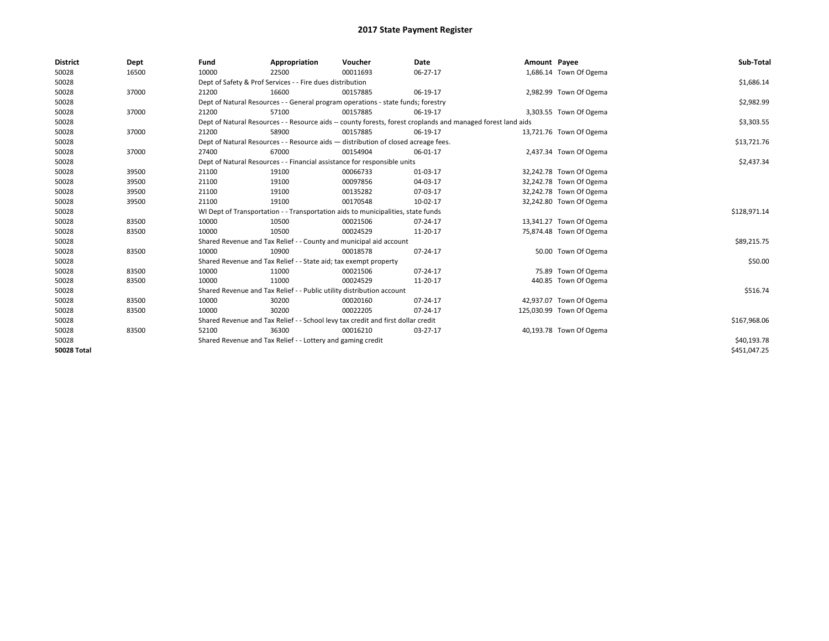| <b>District</b>    | Dept  | Fund                                                                                                         | Appropriation                                                            | Voucher                                                                          | <b>Date</b> | Amount Payee |                          | Sub-Total    |  |  |  |
|--------------------|-------|--------------------------------------------------------------------------------------------------------------|--------------------------------------------------------------------------|----------------------------------------------------------------------------------|-------------|--------------|--------------------------|--------------|--|--|--|
| 50028              | 16500 | 10000                                                                                                        | 22500                                                                    | 00011693                                                                         | 06-27-17    |              | 1,686.14 Town Of Ogema   |              |  |  |  |
| 50028              |       |                                                                                                              | Dept of Safety & Prof Services - - Fire dues distribution                |                                                                                  |             |              |                          | \$1,686.14   |  |  |  |
| 50028              | 37000 | 21200                                                                                                        | 16600                                                                    | 00157885                                                                         | 06-19-17    |              | 2,982.99 Town Of Ogema   |              |  |  |  |
| 50028              |       |                                                                                                              |                                                                          | Dept of Natural Resources - - General program operations - state funds; forestry |             |              |                          | \$2,982.99   |  |  |  |
| 50028              | 37000 | 21200                                                                                                        | 57100                                                                    | 00157885                                                                         | 06-19-17    |              | 3,303.55 Town Of Ogema   |              |  |  |  |
| 50028              |       | Dept of Natural Resources - - Resource aids -- county forests, forest croplands and managed forest land aids |                                                                          | \$3,303.55                                                                       |             |              |                          |              |  |  |  |
| 50028              | 37000 | 21200                                                                                                        | 58900                                                                    | 00157885                                                                         | 06-19-17    |              | 13,721.76 Town Of Ogema  |              |  |  |  |
| 50028              |       | Dept of Natural Resources - - Resource aids - distribution of closed acreage fees.                           |                                                                          | \$13,721.76                                                                      |             |              |                          |              |  |  |  |
| 50028              | 37000 | 27400                                                                                                        | 67000                                                                    | 00154904                                                                         | 06-01-17    |              | 2,437.34 Town Of Ogema   |              |  |  |  |
| 50028              |       |                                                                                                              | Dept of Natural Resources - - Financial assistance for responsible units |                                                                                  |             |              |                          |              |  |  |  |
| 50028              | 39500 | 21100                                                                                                        | 19100                                                                    | 00066733                                                                         | 01-03-17    |              | 32,242.78 Town Of Ogema  |              |  |  |  |
| 50028              | 39500 | 21100                                                                                                        | 19100                                                                    | 00097856                                                                         | 04-03-17    |              | 32,242.78 Town Of Ogema  |              |  |  |  |
| 50028              | 39500 | 21100                                                                                                        | 19100                                                                    | 00135282                                                                         | 07-03-17    |              | 32,242.78 Town Of Ogema  |              |  |  |  |
| 50028              | 39500 | 21100                                                                                                        | 19100                                                                    | 00170548                                                                         | 10-02-17    |              | 32,242.80 Town Of Ogema  |              |  |  |  |
| 50028              |       | WI Dept of Transportation - - Transportation aids to municipalities, state funds                             |                                                                          | \$128,971.14                                                                     |             |              |                          |              |  |  |  |
| 50028              | 83500 | 10000                                                                                                        | 10500                                                                    | 00021506                                                                         | 07-24-17    |              | 13,341.27 Town Of Ogema  |              |  |  |  |
| 50028              | 83500 | 10000                                                                                                        | 10500                                                                    | 00024529                                                                         | 11-20-17    |              | 75,874.48 Town Of Ogema  |              |  |  |  |
| 50028              |       |                                                                                                              |                                                                          | Shared Revenue and Tax Relief - - County and municipal aid account               |             |              |                          | \$89,215.75  |  |  |  |
| 50028              | 83500 | 10000                                                                                                        | 10900                                                                    | 00018578                                                                         | 07-24-17    |              | 50.00 Town Of Ogema      |              |  |  |  |
| 50028              |       |                                                                                                              | Shared Revenue and Tax Relief - - State aid; tax exempt property         |                                                                                  |             |              |                          | \$50.00      |  |  |  |
| 50028              | 83500 | 10000                                                                                                        | 11000                                                                    | 00021506                                                                         | 07-24-17    |              | 75.89 Town Of Ogema      |              |  |  |  |
| 50028              | 83500 | 10000                                                                                                        | 11000                                                                    | 00024529                                                                         | 11-20-17    |              | 440.85 Town Of Ogema     |              |  |  |  |
| 50028              |       |                                                                                                              | Shared Revenue and Tax Relief - - Public utility distribution account    |                                                                                  |             |              |                          | \$516.74     |  |  |  |
| 50028              | 83500 | 10000                                                                                                        | 30200                                                                    | 00020160                                                                         | 07-24-17    |              | 42,937.07 Town Of Ogema  |              |  |  |  |
| 50028              | 83500 | 10000                                                                                                        | 30200                                                                    | 00022205                                                                         | 07-24-17    |              | 125,030.99 Town Of Ogema |              |  |  |  |
| 50028              |       | Shared Revenue and Tax Relief - - School levy tax credit and first dollar credit                             |                                                                          | \$167,968.06                                                                     |             |              |                          |              |  |  |  |
| 50028              | 83500 | 52100                                                                                                        | 36300                                                                    | 00016210                                                                         | 03-27-17    |              | 40,193.78 Town Of Ogema  |              |  |  |  |
| 50028              |       | Shared Revenue and Tax Relief - - Lottery and gaming credit                                                  |                                                                          | \$40,193.78                                                                      |             |              |                          |              |  |  |  |
| <b>50028 Total</b> |       |                                                                                                              |                                                                          |                                                                                  |             |              |                          | \$451,047.25 |  |  |  |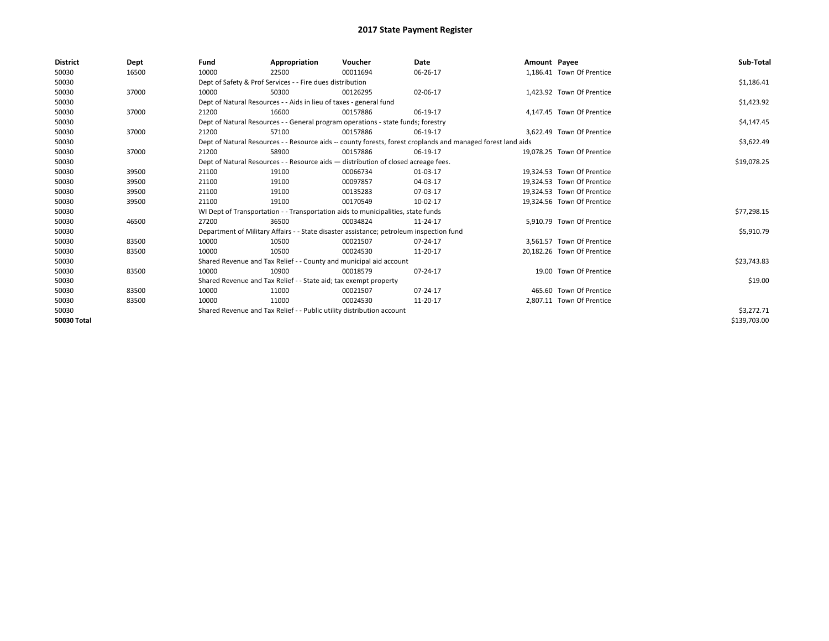| <b>District</b> | Dept  | Fund                                                                  | Appropriation                                                                                                | Voucher    | Date       | Amount Payee |                            | Sub-Total    |
|-----------------|-------|-----------------------------------------------------------------------|--------------------------------------------------------------------------------------------------------------|------------|------------|--------------|----------------------------|--------------|
| 50030           | 16500 | 10000                                                                 | 22500                                                                                                        | 00011694   | 06-26-17   |              | 1,186.41 Town Of Prentice  |              |
| 50030           |       |                                                                       | Dept of Safety & Prof Services - - Fire dues distribution                                                    |            |            |              |                            | \$1,186.41   |
| 50030           | 37000 | 10000                                                                 | 50300                                                                                                        | 00126295   | 02-06-17   |              | 1.423.92 Town Of Prentice  |              |
| 50030           |       |                                                                       | Dept of Natural Resources - - Aids in lieu of taxes - general fund                                           |            |            |              |                            | \$1,423.92   |
| 50030           | 37000 | 21200                                                                 | 16600                                                                                                        | 00157886   | 06-19-17   |              | 4.147.45 Town Of Prentice  |              |
| 50030           |       |                                                                       | Dept of Natural Resources - - General program operations - state funds; forestry                             |            |            |              |                            | \$4,147.45   |
| 50030           | 37000 | 21200                                                                 | 57100                                                                                                        | 00157886   | 06-19-17   |              | 3,622.49 Town Of Prentice  |              |
| 50030           |       |                                                                       | Dept of Natural Resources - - Resource aids -- county forests, forest croplands and managed forest land aids |            | \$3,622.49 |              |                            |              |
| 50030           | 37000 | 21200                                                                 | 58900                                                                                                        | 00157886   | 06-19-17   |              | 19.078.25 Town Of Prentice |              |
| 50030           |       |                                                                       | Dept of Natural Resources - - Resource aids - distribution of closed acreage fees.                           |            |            |              |                            | \$19,078.25  |
| 50030           | 39500 | 21100                                                                 | 19100                                                                                                        | 00066734   | 01-03-17   |              | 19.324.53 Town Of Prentice |              |
| 50030           | 39500 | 21100                                                                 | 19100                                                                                                        | 00097857   | 04-03-17   |              | 19.324.53 Town Of Prentice |              |
| 50030           | 39500 | 21100                                                                 | 19100                                                                                                        | 00135283   | 07-03-17   |              | 19,324.53 Town Of Prentice |              |
| 50030           | 39500 | 21100                                                                 | 19100                                                                                                        | 00170549   | 10-02-17   |              | 19,324.56 Town Of Prentice |              |
| 50030           |       |                                                                       | WI Dept of Transportation - - Transportation aids to municipalities, state funds                             |            |            |              |                            | \$77,298.15  |
| 50030           | 46500 | 27200                                                                 | 36500                                                                                                        | 00034824   | 11-24-17   |              | 5.910.79 Town Of Prentice  |              |
| 50030           |       |                                                                       | Department of Military Affairs - - State disaster assistance; petroleum inspection fund                      |            |            |              |                            | \$5,910.79   |
| 50030           | 83500 | 10000                                                                 | 10500                                                                                                        | 00021507   | 07-24-17   |              | 3.561.57 Town Of Prentice  |              |
| 50030           | 83500 | 10000                                                                 | 10500                                                                                                        | 00024530   | 11-20-17   |              | 20,182.26 Town Of Prentice |              |
| 50030           |       |                                                                       | Shared Revenue and Tax Relief - - County and municipal aid account                                           |            |            |              |                            | \$23,743.83  |
| 50030           | 83500 | 10000                                                                 | 10900                                                                                                        | 00018579   | 07-24-17   |              | 19.00 Town Of Prentice     |              |
| 50030           |       |                                                                       | Shared Revenue and Tax Relief - - State aid; tax exempt property                                             |            |            |              |                            | \$19.00      |
| 50030           | 83500 | 10000                                                                 | 11000                                                                                                        | 00021507   | 07-24-17   |              | 465.60 Town Of Prentice    |              |
| 50030           | 83500 | 10000                                                                 | 11000                                                                                                        | 00024530   | 11-20-17   |              | 2,807.11 Town Of Prentice  |              |
| 50030           |       | Shared Revenue and Tax Relief - - Public utility distribution account |                                                                                                              | \$3,272.71 |            |              |                            |              |
| 50030 Total     |       |                                                                       |                                                                                                              |            |            |              |                            | \$139,703.00 |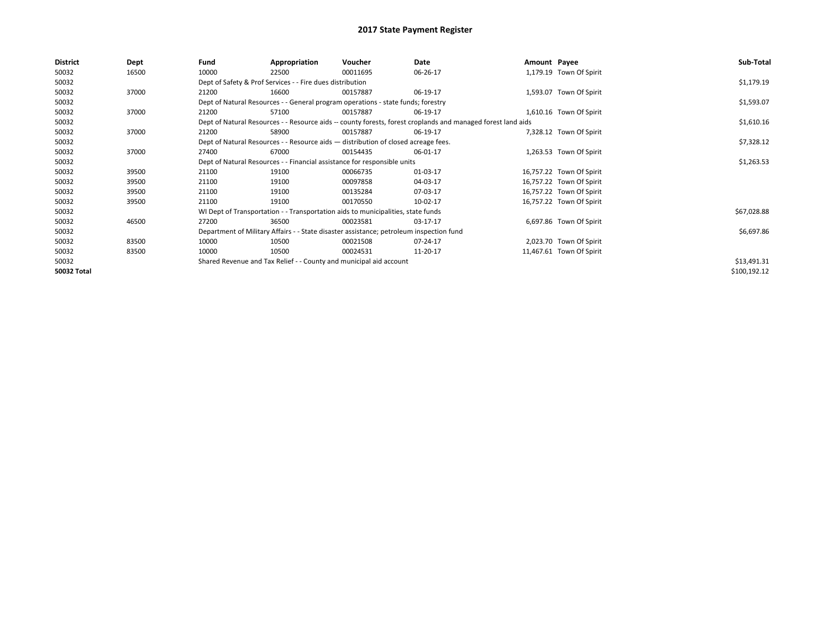| <b>District</b> | Dept  | Fund  | Appropriation                                                                                                | Voucher  | Date       | Amount Payee |                          | Sub-Total    |
|-----------------|-------|-------|--------------------------------------------------------------------------------------------------------------|----------|------------|--------------|--------------------------|--------------|
| 50032           | 16500 | 10000 | 22500                                                                                                        | 00011695 | 06-26-17   |              | 1,179.19 Town Of Spirit  |              |
| 50032           |       |       | Dept of Safety & Prof Services - - Fire dues distribution                                                    |          |            |              |                          | \$1,179.19   |
| 50032           | 37000 | 21200 | 16600                                                                                                        | 00157887 | 06-19-17   |              | 1,593.07 Town Of Spirit  |              |
| 50032           |       |       | Dept of Natural Resources - - General program operations - state funds; forestry                             |          |            |              |                          | \$1,593.07   |
| 50032           | 37000 | 21200 | 57100                                                                                                        | 00157887 | 06-19-17   |              | 1,610.16 Town Of Spirit  |              |
| 50032           |       |       | Dept of Natural Resources - - Resource aids -- county forests, forest croplands and managed forest land aids |          | \$1,610.16 |              |                          |              |
| 50032           | 37000 | 21200 | 58900                                                                                                        | 00157887 | 06-19-17   |              | 7,328.12 Town Of Spirit  |              |
| 50032           |       |       | Dept of Natural Resources - - Resource aids - distribution of closed acreage fees.                           |          |            |              |                          | \$7,328.12   |
| 50032           | 37000 | 27400 | 67000                                                                                                        | 00154435 | 06-01-17   |              | 1,263.53 Town Of Spirit  |              |
| 50032           |       |       | Dept of Natural Resources - - Financial assistance for responsible units                                     |          | \$1,263.53 |              |                          |              |
| 50032           | 39500 | 21100 | 19100                                                                                                        | 00066735 | 01-03-17   |              | 16,757.22 Town Of Spirit |              |
| 50032           | 39500 | 21100 | 19100                                                                                                        | 00097858 | 04-03-17   |              | 16,757.22 Town Of Spirit |              |
| 50032           | 39500 | 21100 | 19100                                                                                                        | 00135284 | 07-03-17   |              | 16,757.22 Town Of Spirit |              |
| 50032           | 39500 | 21100 | 19100                                                                                                        | 00170550 | 10-02-17   |              | 16,757.22 Town Of Spirit |              |
| 50032           |       |       | WI Dept of Transportation - - Transportation aids to municipalities, state funds                             |          |            |              |                          | \$67,028.88  |
| 50032           | 46500 | 27200 | 36500                                                                                                        | 00023581 | 03-17-17   |              | 6,697.86 Town Of Spirit  |              |
| 50032           |       |       | Department of Military Affairs - - State disaster assistance; petroleum inspection fund                      |          |            |              |                          | \$6,697.86   |
| 50032           | 83500 | 10000 | 10500                                                                                                        | 00021508 | 07-24-17   |              | 2,023.70 Town Of Spirit  |              |
| 50032           | 83500 | 10000 | 10500                                                                                                        | 00024531 | 11-20-17   |              | 11,467.61 Town Of Spirit |              |
| 50032           |       |       | Shared Revenue and Tax Relief - - County and municipal aid account                                           |          |            |              |                          | \$13,491.31  |
| 50032 Total     |       |       |                                                                                                              |          |            |              |                          | \$100,192.12 |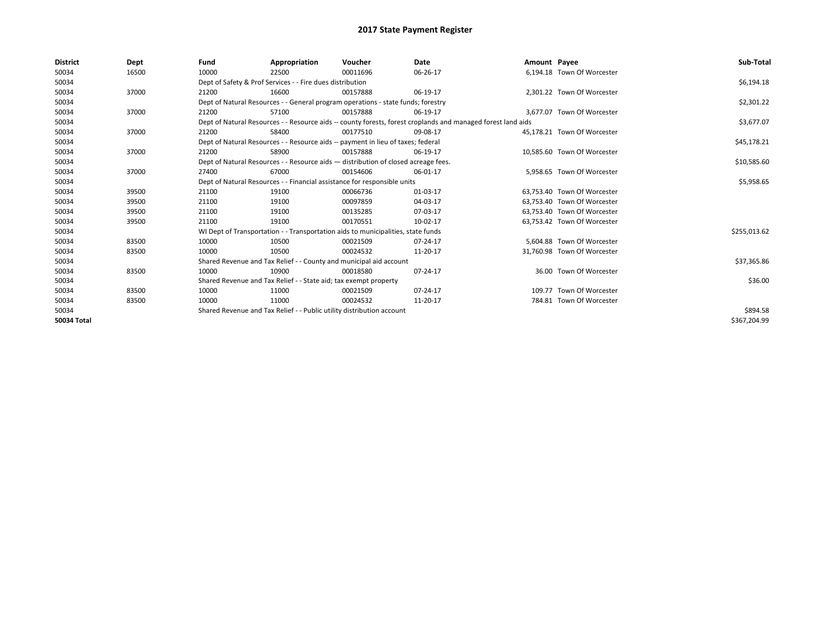| <b>District</b> | Dept  | Fund  | Appropriation                                                                                                | Voucher  | Date        | Amount Payee |                             | Sub-Total    |  |  |
|-----------------|-------|-------|--------------------------------------------------------------------------------------------------------------|----------|-------------|--------------|-----------------------------|--------------|--|--|
| 50034           | 16500 | 10000 | 22500                                                                                                        | 00011696 | 06-26-17    |              | 6,194.18 Town Of Worcester  |              |  |  |
| 50034           |       |       | Dept of Safety & Prof Services - - Fire dues distribution                                                    |          |             |              |                             | \$6,194.18   |  |  |
| 50034           | 37000 | 21200 | 16600                                                                                                        | 00157888 | 06-19-17    |              | 2.301.22 Town Of Worcester  |              |  |  |
| 50034           |       |       | Dept of Natural Resources - - General program operations - state funds; forestry                             |          |             |              |                             |              |  |  |
| 50034           | 37000 | 21200 | 57100                                                                                                        | 00157888 | 06-19-17    |              | 3.677.07 Town Of Worcester  |              |  |  |
| 50034           |       |       | Dept of Natural Resources - - Resource aids -- county forests, forest croplands and managed forest land aids |          | \$3,677.07  |              |                             |              |  |  |
| 50034           | 37000 | 21200 | 58400                                                                                                        | 00177510 | 09-08-17    |              | 45,178.21 Town Of Worcester |              |  |  |
| 50034           |       |       | Dept of Natural Resources - - Resource aids -- payment in lieu of taxes; federal                             |          | \$45,178.21 |              |                             |              |  |  |
| 50034           | 37000 | 21200 | 58900                                                                                                        | 00157888 | 06-19-17    |              | 10,585.60 Town Of Worcester |              |  |  |
| 50034           |       |       | Dept of Natural Resources - - Resource aids - distribution of closed acreage fees.                           |          |             |              |                             | \$10,585.60  |  |  |
| 50034           | 37000 | 27400 | 67000                                                                                                        | 00154606 | 06-01-17    |              | 5.958.65 Town Of Worcester  |              |  |  |
| 50034           |       |       | Dept of Natural Resources - - Financial assistance for responsible units                                     |          | \$5,958.65  |              |                             |              |  |  |
| 50034           | 39500 | 21100 | 19100                                                                                                        | 00066736 | 01-03-17    |              | 63,753.40 Town Of Worcester |              |  |  |
| 50034           | 39500 | 21100 | 19100                                                                                                        | 00097859 | 04-03-17    |              | 63,753.40 Town Of Worcester |              |  |  |
| 50034           | 39500 | 21100 | 19100                                                                                                        | 00135285 | 07-03-17    |              | 63,753.40 Town Of Worcester |              |  |  |
| 50034           | 39500 | 21100 | 19100                                                                                                        | 00170551 | 10-02-17    |              | 63,753.42 Town Of Worcester |              |  |  |
| 50034           |       |       | WI Dept of Transportation - - Transportation aids to municipalities, state funds                             |          |             |              |                             | \$255,013.62 |  |  |
| 50034           | 83500 | 10000 | 10500                                                                                                        | 00021509 | 07-24-17    |              | 5.604.88 Town Of Worcester  |              |  |  |
| 50034           | 83500 | 10000 | 10500                                                                                                        | 00024532 | 11-20-17    |              | 31,760.98 Town Of Worcester |              |  |  |
| 50034           |       |       | Shared Revenue and Tax Relief - - County and municipal aid account                                           |          |             |              |                             | \$37,365.86  |  |  |
| 50034           | 83500 | 10000 | 10900                                                                                                        | 00018580 | 07-24-17    |              | 36.00 Town Of Worcester     |              |  |  |
| 50034           |       |       | Shared Revenue and Tax Relief - - State aid; tax exempt property                                             |          |             |              |                             |              |  |  |
| 50034           | 83500 | 10000 | 11000                                                                                                        | 00021509 | 07-24-17    |              | 109.77 Town Of Worcester    |              |  |  |
| 50034           | 83500 | 10000 | 11000                                                                                                        | 00024532 | 11-20-17    |              | 784.81 Town Of Worcester    |              |  |  |
| 50034           |       |       | Shared Revenue and Tax Relief - - Public utility distribution account                                        |          |             |              |                             |              |  |  |
| 50034 Total     |       |       |                                                                                                              |          |             |              |                             | \$367,204.99 |  |  |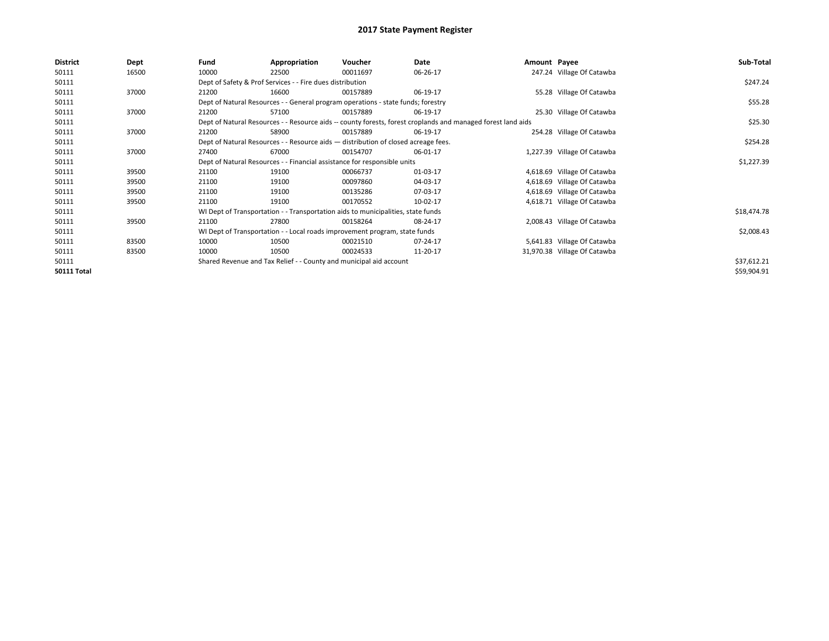| <b>District</b>    | Dept  | Fund                                                                                                         | Appropriation                                                                      | Voucher  | Date     | Amount Payee |                              | Sub-Total   |
|--------------------|-------|--------------------------------------------------------------------------------------------------------------|------------------------------------------------------------------------------------|----------|----------|--------------|------------------------------|-------------|
| 50111              | 16500 | 10000                                                                                                        | 22500                                                                              | 00011697 | 06-26-17 |              | 247.24 Village Of Catawba    |             |
| 50111              |       |                                                                                                              | Dept of Safety & Prof Services - - Fire dues distribution                          |          |          |              |                              | \$247.24    |
| 50111              | 37000 | 21200                                                                                                        | 16600                                                                              | 00157889 | 06-19-17 |              | 55.28 Village Of Catawba     |             |
| 50111              |       | Dept of Natural Resources - - General program operations - state funds; forestry                             |                                                                                    | \$55.28  |          |              |                              |             |
| 50111              | 37000 | 21200                                                                                                        | 57100                                                                              | 00157889 | 06-19-17 |              | 25.30 Village Of Catawba     |             |
| 50111              |       | Dept of Natural Resources - - Resource aids -- county forests, forest croplands and managed forest land aids |                                                                                    | \$25.30  |          |              |                              |             |
| 50111              | 37000 | 21200                                                                                                        | 58900                                                                              | 00157889 | 06-19-17 |              | 254.28 Village Of Catawba    |             |
| 50111              |       |                                                                                                              | Dept of Natural Resources - - Resource aids - distribution of closed acreage fees. |          |          |              |                              | \$254.28    |
| 50111              | 37000 | 27400                                                                                                        | 67000                                                                              | 00154707 | 06-01-17 |              | 1,227.39 Village Of Catawba  |             |
| 50111              |       |                                                                                                              | Dept of Natural Resources - - Financial assistance for responsible units           |          |          |              |                              | \$1,227.39  |
| 50111              | 39500 | 21100                                                                                                        | 19100                                                                              | 00066737 | 01-03-17 |              | 4,618.69 Village Of Catawba  |             |
| 50111              | 39500 | 21100                                                                                                        | 19100                                                                              | 00097860 | 04-03-17 |              | 4,618.69 Village Of Catawba  |             |
| 50111              | 39500 | 21100                                                                                                        | 19100                                                                              | 00135286 | 07-03-17 |              | 4,618.69 Village Of Catawba  |             |
| 50111              | 39500 | 21100                                                                                                        | 19100                                                                              | 00170552 | 10-02-17 |              | 4,618.71 Village Of Catawba  |             |
| 50111              |       |                                                                                                              | WI Dept of Transportation - - Transportation aids to municipalities, state funds   |          |          |              |                              | \$18,474.78 |
| 50111              | 39500 | 21100                                                                                                        | 27800                                                                              | 00158264 | 08-24-17 |              | 2,008.43 Village Of Catawba  |             |
| 50111              |       |                                                                                                              | WI Dept of Transportation - - Local roads improvement program, state funds         |          |          |              |                              | \$2,008.43  |
| 50111              | 83500 | 10000                                                                                                        | 10500                                                                              | 00021510 | 07-24-17 |              | 5,641.83 Village Of Catawba  |             |
| 50111              | 83500 | 10000                                                                                                        | 10500                                                                              | 00024533 | 11-20-17 |              | 31,970.38 Village Of Catawba |             |
| 50111              |       |                                                                                                              | Shared Revenue and Tax Relief - - County and municipal aid account                 |          |          |              |                              | \$37,612.21 |
| <b>50111 Total</b> |       |                                                                                                              |                                                                                    |          |          |              |                              | \$59,904.91 |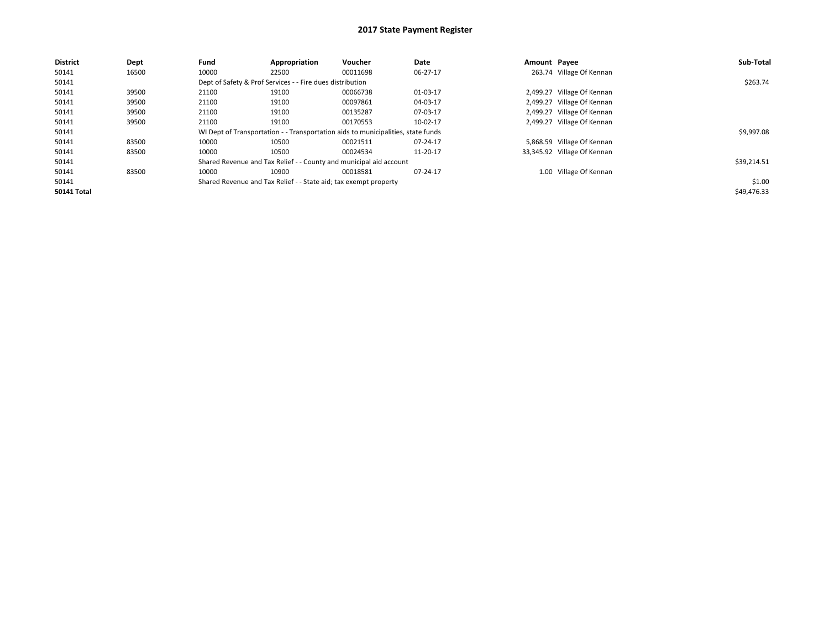| <b>District</b>    | Dept  | Fund  | Appropriation                                                    | Voucher                                                                          | Date     | Amount Payee |                             | Sub-Total   |
|--------------------|-------|-------|------------------------------------------------------------------|----------------------------------------------------------------------------------|----------|--------------|-----------------------------|-------------|
| 50141              | 16500 | 10000 | 22500                                                            | 00011698                                                                         | 06-27-17 |              | 263.74 Village Of Kennan    |             |
| 50141              |       |       | Dept of Safety & Prof Services - - Fire dues distribution        |                                                                                  |          |              |                             | \$263.74    |
| 50141              | 39500 | 21100 | 19100                                                            | 00066738                                                                         | 01-03-17 |              | 2,499.27 Village Of Kennan  |             |
| 50141              | 39500 | 21100 | 19100                                                            | 00097861                                                                         | 04-03-17 |              | 2,499.27 Village Of Kennan  |             |
| 50141              | 39500 | 21100 | 19100                                                            | 00135287                                                                         | 07-03-17 |              | 2,499.27 Village Of Kennan  |             |
| 50141              | 39500 | 21100 | 19100                                                            | 00170553                                                                         | 10-02-17 |              | 2,499.27 Village Of Kennan  |             |
| 50141              |       |       |                                                                  | WI Dept of Transportation - - Transportation aids to municipalities, state funds |          |              |                             | \$9,997.08  |
| 50141              | 83500 | 10000 | 10500                                                            | 00021511                                                                         | 07-24-17 |              | 5,868.59 Village Of Kennan  |             |
| 50141              | 83500 | 10000 | 10500                                                            | 00024534                                                                         | 11-20-17 |              | 33,345.92 Village Of Kennan |             |
| 50141              |       |       |                                                                  | Shared Revenue and Tax Relief - - County and municipal aid account               |          |              |                             | \$39,214.51 |
| 50141              | 83500 | 10000 | 10900                                                            | 00018581                                                                         | 07-24-17 |              | 1.00 Village Of Kennan      |             |
| 50141              |       |       | Shared Revenue and Tax Relief - - State aid; tax exempt property |                                                                                  |          |              |                             | \$1.00      |
| <b>50141 Total</b> |       |       |                                                                  |                                                                                  |          |              |                             | \$49,476.33 |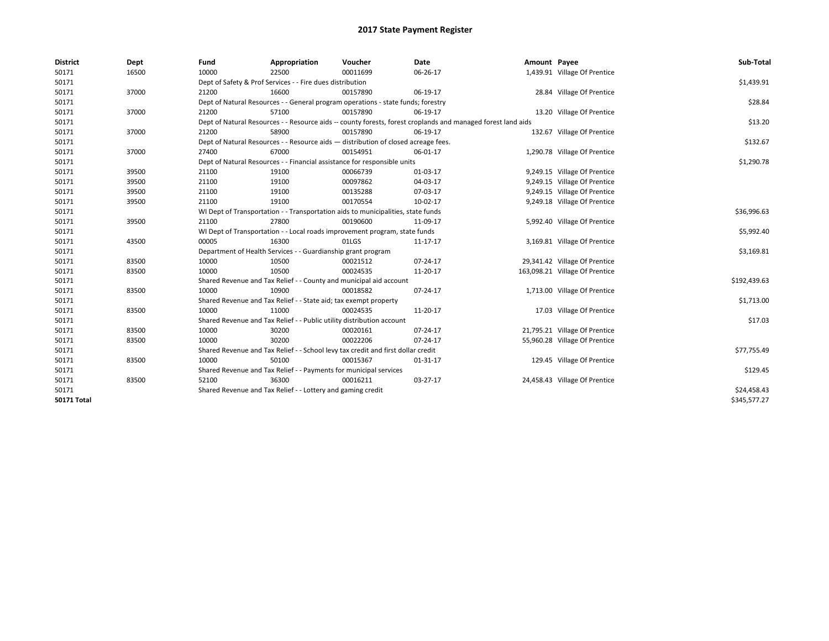| <b>District</b>    | Dept  | Fund  | Appropriation                                                                      | Voucher  | Date                                                                                                         | Amount Payee |                                | Sub-Total    |  |  |  |
|--------------------|-------|-------|------------------------------------------------------------------------------------|----------|--------------------------------------------------------------------------------------------------------------|--------------|--------------------------------|--------------|--|--|--|
| 50171              | 16500 | 10000 | 22500                                                                              | 00011699 | 06-26-17                                                                                                     |              | 1,439.91 Village Of Prentice   |              |  |  |  |
| 50171              |       |       | Dept of Safety & Prof Services - - Fire dues distribution                          |          |                                                                                                              |              |                                | \$1,439.91   |  |  |  |
| 50171              | 37000 | 21200 | 16600                                                                              | 00157890 | 06-19-17                                                                                                     |              | 28.84 Village Of Prentice      |              |  |  |  |
| 50171              |       |       | Dept of Natural Resources - - General program operations - state funds; forestry   |          |                                                                                                              |              |                                | \$28.84      |  |  |  |
| 50171              | 37000 | 21200 | 57100                                                                              | 00157890 | 06-19-17                                                                                                     |              | 13.20 Village Of Prentice      |              |  |  |  |
| 50171              |       |       |                                                                                    |          | Dept of Natural Resources - - Resource aids -- county forests, forest croplands and managed forest land aids |              |                                | \$13.20      |  |  |  |
| 50171              | 37000 | 21200 | 58900                                                                              | 00157890 | 06-19-17                                                                                                     |              | 132.67 Village Of Prentice     |              |  |  |  |
| 50171              |       |       | Dept of Natural Resources - - Resource aids - distribution of closed acreage fees. |          |                                                                                                              |              |                                |              |  |  |  |
| 50171              | 37000 | 27400 | 67000                                                                              | 00154951 | 06-01-17                                                                                                     |              | 1,290.78 Village Of Prentice   |              |  |  |  |
| 50171              |       |       | Dept of Natural Resources - - Financial assistance for responsible units           |          |                                                                                                              |              |                                | \$1,290.78   |  |  |  |
| 50171              | 39500 | 21100 | 19100                                                                              | 00066739 | 01-03-17                                                                                                     |              | 9,249.15 Village Of Prentice   |              |  |  |  |
| 50171              | 39500 | 21100 | 19100                                                                              | 00097862 | 04-03-17                                                                                                     |              | 9,249.15 Village Of Prentice   |              |  |  |  |
| 50171              | 39500 | 21100 | 19100                                                                              | 00135288 | 07-03-17                                                                                                     |              | 9,249.15 Village Of Prentice   |              |  |  |  |
| 50171              | 39500 | 21100 | 19100                                                                              | 00170554 | 10-02-17                                                                                                     |              | 9,249.18 Village Of Prentice   |              |  |  |  |
| 50171              |       |       | WI Dept of Transportation - - Transportation aids to municipalities, state funds   |          |                                                                                                              |              |                                |              |  |  |  |
| 50171              | 39500 | 21100 | 27800                                                                              | 00190600 | 11-09-17                                                                                                     |              | 5,992.40 Village Of Prentice   |              |  |  |  |
| 50171              |       |       | WI Dept of Transportation - - Local roads improvement program, state funds         |          |                                                                                                              |              |                                |              |  |  |  |
| 50171              | 43500 | 00005 | 16300                                                                              | 01LGS    | 11-17-17                                                                                                     |              | 3,169.81 Village Of Prentice   |              |  |  |  |
| 50171              |       |       | Department of Health Services - - Guardianship grant program                       |          |                                                                                                              |              |                                | \$3,169.81   |  |  |  |
| 50171              | 83500 | 10000 | 10500                                                                              | 00021512 | $07 - 24 - 17$                                                                                               |              | 29,341.42 Village Of Prentice  |              |  |  |  |
| 50171              | 83500 | 10000 | 10500                                                                              | 00024535 | 11-20-17                                                                                                     |              | 163,098.21 Village Of Prentice |              |  |  |  |
| 50171              |       |       | Shared Revenue and Tax Relief - - County and municipal aid account                 |          |                                                                                                              |              |                                | \$192,439.63 |  |  |  |
| 50171              | 83500 | 10000 | 10900                                                                              | 00018582 | 07-24-17                                                                                                     |              | 1,713.00 Village Of Prentice   |              |  |  |  |
| 50171              |       |       | Shared Revenue and Tax Relief - - State aid; tax exempt property                   |          |                                                                                                              |              |                                | \$1,713.00   |  |  |  |
| 50171              | 83500 | 10000 | 11000                                                                              | 00024535 | 11-20-17                                                                                                     |              | 17.03 Village Of Prentice      |              |  |  |  |
| 50171              |       |       | Shared Revenue and Tax Relief - - Public utility distribution account              |          |                                                                                                              |              |                                | \$17.03      |  |  |  |
| 50171              | 83500 | 10000 | 30200                                                                              | 00020161 | 07-24-17                                                                                                     |              | 21,795.21 Village Of Prentice  |              |  |  |  |
| 50171              | 83500 | 10000 | 30200                                                                              | 00022206 | 07-24-17                                                                                                     |              | 55,960.28 Village Of Prentice  |              |  |  |  |
| 50171              |       |       | Shared Revenue and Tax Relief - - School levy tax credit and first dollar credit   |          |                                                                                                              |              |                                | \$77,755.49  |  |  |  |
| 50171              | 83500 | 10000 | 50100                                                                              | 00015367 | 01-31-17                                                                                                     |              | 129.45 Village Of Prentice     |              |  |  |  |
| 50171              |       |       | Shared Revenue and Tax Relief - - Payments for municipal services                  |          |                                                                                                              |              |                                | \$129.45     |  |  |  |
| 50171              | 83500 | 52100 | 36300                                                                              | 00016211 | 03-27-17                                                                                                     |              | 24,458.43 Village Of Prentice  |              |  |  |  |
| 50171              |       |       | Shared Revenue and Tax Relief - - Lottery and gaming credit                        |          |                                                                                                              |              |                                | \$24,458.43  |  |  |  |
| <b>50171 Total</b> |       |       |                                                                                    |          |                                                                                                              |              |                                | \$345,577.27 |  |  |  |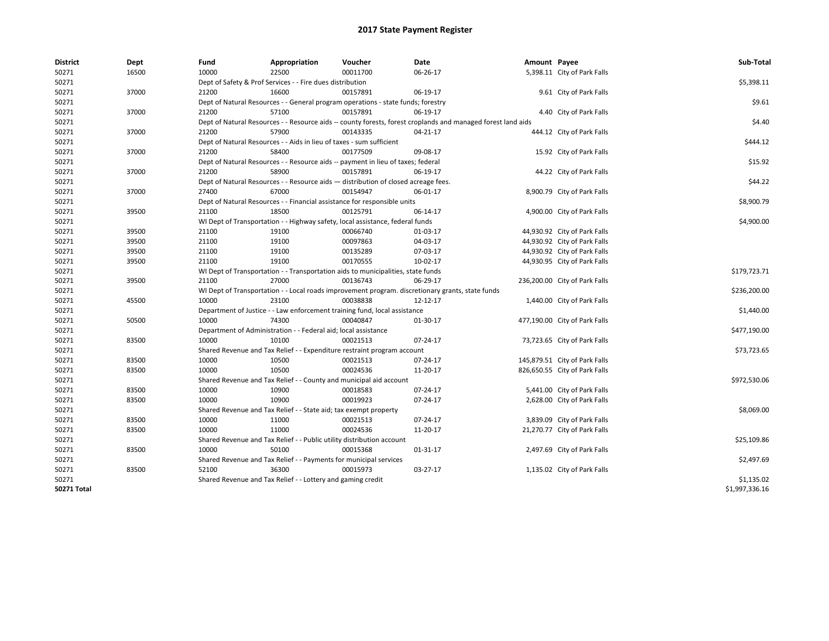| <b>District</b>    | Dept  | Fund                                                                                                         | Appropriation                                                         | Voucher                                                                          | Date                                                                                             | Amount Payee |                               | Sub-Total      |  |  |  |
|--------------------|-------|--------------------------------------------------------------------------------------------------------------|-----------------------------------------------------------------------|----------------------------------------------------------------------------------|--------------------------------------------------------------------------------------------------|--------------|-------------------------------|----------------|--|--|--|
| 50271              | 16500 | 10000                                                                                                        | 22500                                                                 | 00011700                                                                         | 06-26-17                                                                                         |              | 5,398.11 City of Park Falls   |                |  |  |  |
| 50271              |       | Dept of Safety & Prof Services - - Fire dues distribution                                                    | \$5,398.11                                                            |                                                                                  |                                                                                                  |              |                               |                |  |  |  |
| 50271              | 37000 | 21200                                                                                                        | 16600                                                                 | 00157891                                                                         | 06-19-17                                                                                         |              | 9.61 City of Park Falls       |                |  |  |  |
| 50271              |       | Dept of Natural Resources - - General program operations - state funds; forestry                             |                                                                       |                                                                                  |                                                                                                  |              |                               |                |  |  |  |
| 50271              | 37000 | 21200                                                                                                        | 57100                                                                 | 00157891                                                                         | 06-19-17                                                                                         |              | 4.40 City of Park Falls       |                |  |  |  |
| 50271              |       | Dept of Natural Resources - - Resource aids -- county forests, forest croplands and managed forest land aids | \$4.40                                                                |                                                                                  |                                                                                                  |              |                               |                |  |  |  |
| 50271              | 37000 | 21200                                                                                                        | 57900                                                                 | 00143335                                                                         | $04 - 21 - 17$                                                                                   |              | 444.12 City of Park Falls     |                |  |  |  |
| 50271              |       | Dept of Natural Resources - - Aids in lieu of taxes - sum sufficient                                         | \$444.12                                                              |                                                                                  |                                                                                                  |              |                               |                |  |  |  |
| 50271              | 37000 | 21200                                                                                                        | 58400                                                                 | 00177509                                                                         | 09-08-17                                                                                         |              | 15.92 City of Park Falls      |                |  |  |  |
| 50271              |       | Dept of Natural Resources - - Resource aids -- payment in lieu of taxes; federal                             | \$15.92                                                               |                                                                                  |                                                                                                  |              |                               |                |  |  |  |
| 50271              | 37000 | 21200                                                                                                        | 58900                                                                 | 00157891                                                                         | 06-19-17                                                                                         |              | 44.22 City of Park Falls      |                |  |  |  |
| 50271              |       | Dept of Natural Resources - - Resource aids - distribution of closed acreage fees.                           | \$44.22                                                               |                                                                                  |                                                                                                  |              |                               |                |  |  |  |
| 50271              | 37000 | 27400                                                                                                        | 67000                                                                 | 00154947                                                                         | 06-01-17                                                                                         |              | 8,900.79 City of Park Falls   |                |  |  |  |
| 50271              |       |                                                                                                              |                                                                       | Dept of Natural Resources - - Financial assistance for responsible units         |                                                                                                  |              |                               | \$8,900.79     |  |  |  |
| 50271              | 39500 | 21100                                                                                                        | 18500                                                                 | 00125791                                                                         | 06-14-17                                                                                         |              | 4,900.00 City of Park Falls   |                |  |  |  |
| 50271              |       |                                                                                                              |                                                                       | WI Dept of Transportation - - Highway safety, local assistance, federal funds    |                                                                                                  |              |                               | \$4,900.00     |  |  |  |
| 50271              | 39500 | 21100                                                                                                        | 19100                                                                 | 00066740                                                                         | 01-03-17                                                                                         |              | 44,930.92 City of Park Falls  |                |  |  |  |
| 50271              | 39500 | 21100                                                                                                        | 19100                                                                 | 00097863                                                                         | 04-03-17                                                                                         |              | 44,930.92 City of Park Falls  |                |  |  |  |
| 50271              | 39500 | 21100                                                                                                        | 19100                                                                 | 00135289                                                                         | 07-03-17                                                                                         |              | 44,930.92 City of Park Falls  |                |  |  |  |
| 50271              | 39500 | 21100                                                                                                        | 19100                                                                 | 00170555                                                                         | 10-02-17                                                                                         |              | 44,930.95 City of Park Falls  |                |  |  |  |
| 50271              |       |                                                                                                              |                                                                       | WI Dept of Transportation - - Transportation aids to municipalities, state funds |                                                                                                  |              |                               | \$179,723.71   |  |  |  |
| 50271              | 39500 | 21100                                                                                                        | 27000                                                                 | 00136743                                                                         | 06-29-17                                                                                         |              | 236,200.00 City of Park Falls |                |  |  |  |
| 50271              |       |                                                                                                              |                                                                       |                                                                                  | WI Dept of Transportation - - Local roads improvement program. discretionary grants, state funds |              |                               | \$236,200.00   |  |  |  |
| 50271              | 45500 | 10000                                                                                                        | 23100                                                                 | 00038838                                                                         | 12-12-17                                                                                         |              | 1,440.00 City of Park Falls   |                |  |  |  |
| 50271              |       |                                                                                                              |                                                                       | Department of Justice - - Law enforcement training fund, local assistance        |                                                                                                  |              |                               | \$1,440.00     |  |  |  |
| 50271              | 50500 | 10000                                                                                                        | 74300                                                                 | 00040847                                                                         | 01-30-17                                                                                         |              | 477,190.00 City of Park Falls |                |  |  |  |
| 50271              |       | Department of Administration - - Federal aid; local assistance                                               | \$477,190.00                                                          |                                                                                  |                                                                                                  |              |                               |                |  |  |  |
| 50271              | 83500 | 10000                                                                                                        | 10100                                                                 | 00021513                                                                         | 07-24-17                                                                                         |              | 73,723.65 City of Park Falls  |                |  |  |  |
| 50271              |       | Shared Revenue and Tax Relief - - Expenditure restraint program account                                      | \$73,723.65                                                           |                                                                                  |                                                                                                  |              |                               |                |  |  |  |
| 50271              | 83500 | 10000                                                                                                        | 10500                                                                 | 00021513                                                                         | 07-24-17                                                                                         |              | 145,879.51 City of Park Falls |                |  |  |  |
| 50271              | 83500 | 10000                                                                                                        | 10500                                                                 | 00024536                                                                         | 11-20-17                                                                                         |              | 826,650.55 City of Park Falls |                |  |  |  |
| 50271              |       | Shared Revenue and Tax Relief - - County and municipal aid account                                           | \$972,530.06                                                          |                                                                                  |                                                                                                  |              |                               |                |  |  |  |
| 50271              | 83500 | 10000                                                                                                        | 10900                                                                 | 00018583                                                                         | 07-24-17                                                                                         |              | 5,441.00 City of Park Falls   |                |  |  |  |
| 50271              | 83500 | 10000                                                                                                        | 10900                                                                 | 00019923                                                                         | 07-24-17                                                                                         |              | 2,628.00 City of Park Falls   |                |  |  |  |
| 50271              |       |                                                                                                              | Shared Revenue and Tax Relief - - State aid; tax exempt property      |                                                                                  |                                                                                                  |              |                               | \$8,069.00     |  |  |  |
| 50271              | 83500 | 10000                                                                                                        | 11000                                                                 | 00021513                                                                         | 07-24-17                                                                                         |              | 3,839.09 City of Park Falls   |                |  |  |  |
| 50271              | 83500 | 10000                                                                                                        | 11000                                                                 | 00024536                                                                         | 11-20-17                                                                                         |              | 21,270.77 City of Park Falls  |                |  |  |  |
| 50271              |       |                                                                                                              | Shared Revenue and Tax Relief - - Public utility distribution account |                                                                                  |                                                                                                  |              |                               | \$25,109.86    |  |  |  |
| 50271              | 83500 | 10000                                                                                                        | 50100                                                                 | 00015368                                                                         | 01-31-17                                                                                         |              | 2,497.69 City of Park Falls   |                |  |  |  |
| 50271              |       | Shared Revenue and Tax Relief - - Payments for municipal services                                            |                                                                       |                                                                                  |                                                                                                  |              |                               |                |  |  |  |
| 50271              | 83500 | 52100                                                                                                        | 36300                                                                 | 00015973                                                                         | 03-27-17                                                                                         |              | 1,135.02 City of Park Falls   |                |  |  |  |
| 50271              |       |                                                                                                              | Shared Revenue and Tax Relief - - Lottery and gaming credit           |                                                                                  |                                                                                                  |              |                               | \$1,135.02     |  |  |  |
| <b>50271 Total</b> |       |                                                                                                              |                                                                       |                                                                                  |                                                                                                  |              |                               | \$1,997,336.16 |  |  |  |